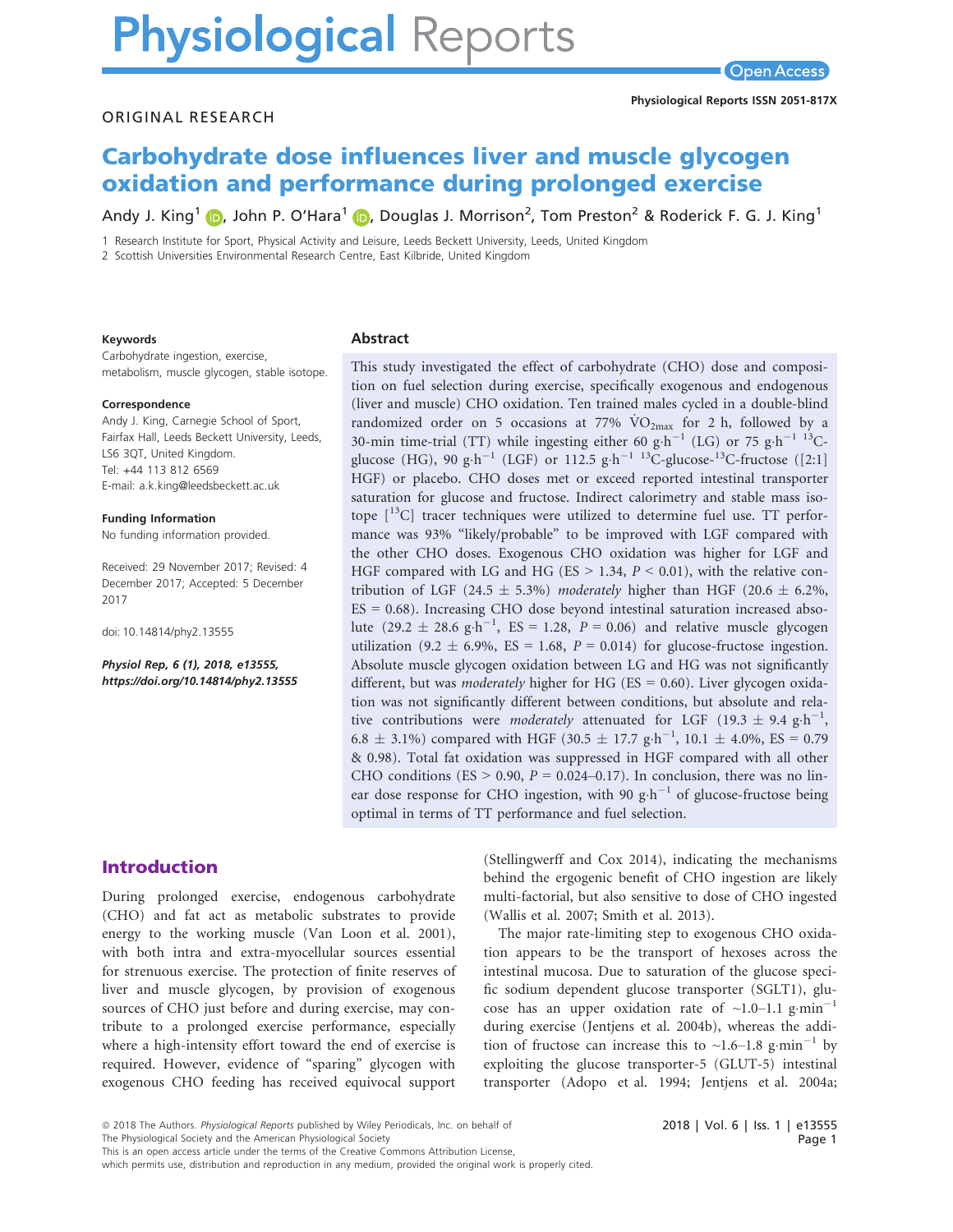# **Physiological Reports**

## ORIGINAL RESEARCH

# Carbohydrate dose influences liver and muscle glycogen oxidation and performance during prolonged exercise

Andy J. King $^1$  $^1$  (D, John P. O'Hara $^1$  (D, Douglas J. Morrison $^2$ , Tom Preston $^2$  & Roderick F. G. J. King $^1$ 

1 Research Institute for Sport, Physical Activity and Leisure, Leeds Beckett University, Leeds, United Kingdom 2 Scottish Universities Environmental Research Centre, East Kilbride, United Kingdom

#### Keywords

Carbohydrate ingestion, exercise, metabolism, muscle glycogen, stable isotope.

#### Correspondence

Andy J. King, Carnegie School of Sport, Fairfax Hall, Leeds Beckett University, Leeds, LS6 3QT, United Kingdom. Tel: +44 113 812 6569 E-mail: a.k.king@leedsbeckett.ac.uk

Funding Information No funding information provided.

Received: 29 November 2017; Revised: 4 December 2017; Accepted: 5 December 2017

doi: 10.14814/phy2.13555

Physiol Rep, 6 (1), 2018, e13555, <https://doi.org/10.14814/phy2.13555>

#### Abstract

This study investigated the effect of carbohydrate (CHO) dose and composition on fuel selection during exercise, specifically exogenous and endogenous (liver and muscle) CHO oxidation. Ten trained males cycled in a double-blind randomized order on 5 occasions at 77%  $\rm VO_{2max}$  for 2 h, followed by a 30-min time-trial (TT) while ingesting either 60 g·h<sup>-1</sup> (LG) or 75 g·h<sup>-1 13</sup>Cglucose (HG), 90 g·h<sup>-1</sup> (LGF) or 112.5 g·h<sup>-1</sup> <sup>13</sup>C-glucose-<sup>13</sup>C-fructose ([2:1] HGF) or placebo. CHO doses met or exceed reported intestinal transporter saturation for glucose and fructose. Indirect calorimetry and stable mass isotope  $\begin{bmatrix} 13\end{bmatrix}$  tracer techniques were utilized to determine fuel use. TT performance was 93% "likely/probable" to be improved with LGF compared with the other CHO doses. Exogenous CHO oxidation was higher for LGF and HGF compared with LG and HG (ES  $> 1.34$ ,  $P < 0.01$ ), with the relative contribution of LGF (24.5  $\pm$  5.3%) moderately higher than HGF (20.6  $\pm$  6.2%,  $ES = 0.68$ ). Increasing CHO dose beyond intestinal saturation increased absolute  $(29.2 \pm 28.6 \text{ g} \cdot \text{h}^{-1})$ , ES = 1.28,  $P = 0.06$ ) and relative muscle glycogen utilization (9.2  $\pm$  6.9%, ES = 1.68, P = 0.014) for glucose-fructose ingestion. Absolute muscle glycogen oxidation between LG and HG was not significantly different, but was moderately higher for HG (ES = 0.60). Liver glycogen oxidation was not significantly different between conditions, but absolute and relative contributions were *moderately* attenuated for LGF (19.3  $\pm$  9.4 g·h<sup>-1</sup>, 6.8  $\pm$  3.1%) compared with HGF (30.5  $\pm$  17.7 g·h<sup>-1</sup>, 10.1  $\pm$  4.0%, ES = 0.79 & 0.98). Total fat oxidation was suppressed in HGF compared with all other CHO conditions (ES  $> 0.90$ ,  $P = 0.024 - 0.17$ ). In conclusion, there was no linear dose response for CHO ingestion, with 90 g $h^{-1}$  of glucose-fructose being optimal in terms of TT performance and fuel selection.

# Introduction

During prolonged exercise, endogenous carbohydrate (CHO) and fat act as metabolic substrates to provide energy to the working muscle (Van Loon et al. 2001), with both intra and extra-myocellular sources essential for strenuous exercise. The protection of finite reserves of liver and muscle glycogen, by provision of exogenous sources of CHO just before and during exercise, may contribute to a prolonged exercise performance, especially where a high-intensity effort toward the end of exercise is required. However, evidence of "sparing" glycogen with exogenous CHO feeding has received equivocal support

(Stellingwerff and Cox 2014), indicating the mechanisms behind the ergogenic benefit of CHO ingestion are likely multi-factorial, but also sensitive to dose of CHO ingested (Wallis et al. 2007; Smith et al. 2013).

The major rate-limiting step to exogenous CHO oxidation appears to be the transport of hexoses across the intestinal mucosa. Due to saturation of the glucose specific sodium dependent glucose transporter (SGLT1), glucose has an upper oxidation rate of  $\sim$ 1.0–1.1 g·min<sup>-1</sup> during exercise (Jentjens et al. 2004b), whereas the addition of fructose can increase this to  $\sim$ 1.6–1.8 g·min<sup>-1</sup> by exploiting the glucose transporter-5 (GLUT-5) intestinal transporter (Adopo et al. 1994; Jentjens et al. 2004a;

The Physiological Society and the American Physiological Society

which permits use, distribution and reproduction in any medium, provided the original work is properly cited.

<sup>ª</sup> 2018 The Authors. Physiological Reports published by Wiley Periodicals, Inc. on behalf of

This is an open access article under the terms of the [Creative Commons Attribution](http://creativecommons.org/licenses/by/4.0/) License,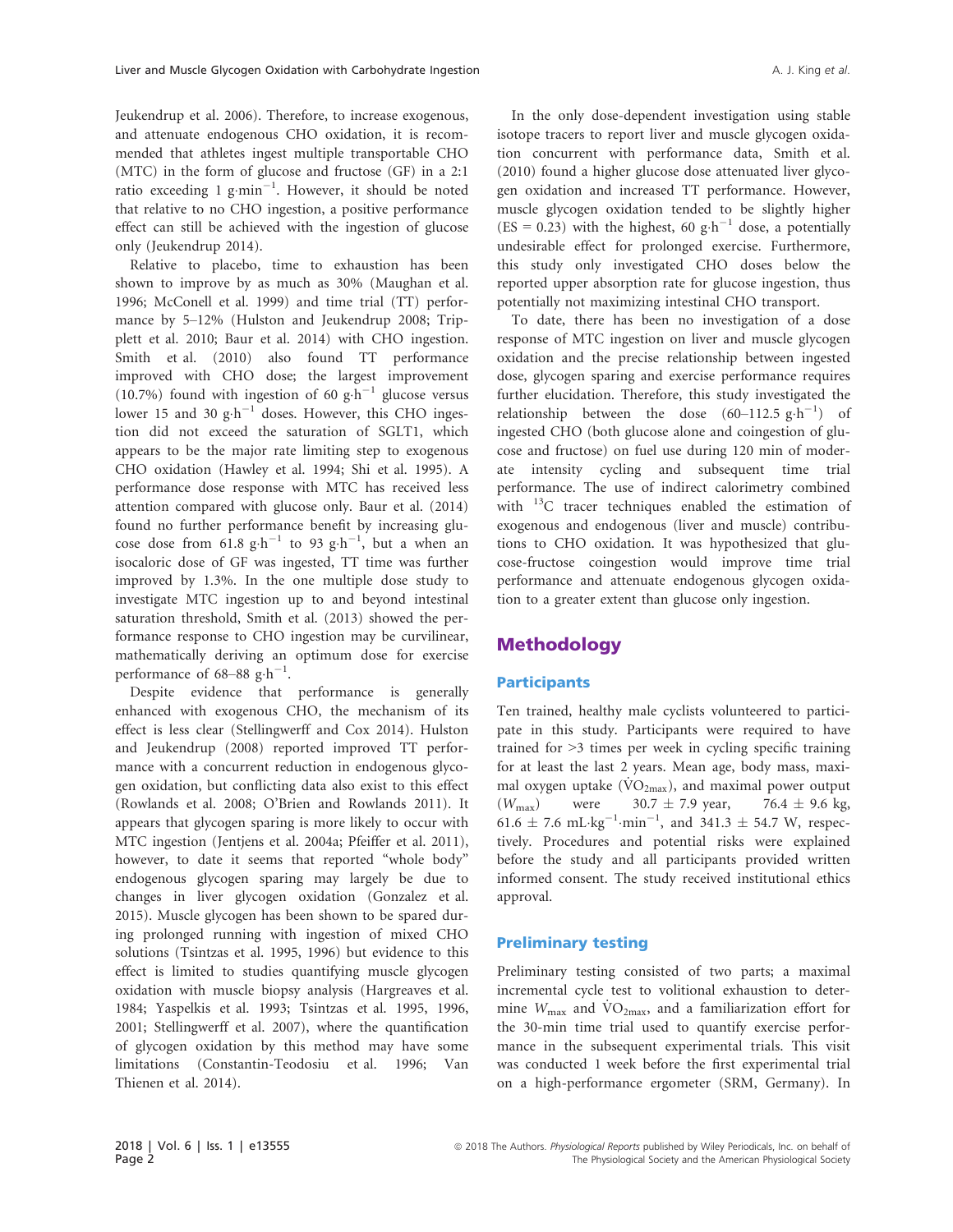Jeukendrup et al. 2006). Therefore, to increase exogenous, and attenuate endogenous CHO oxidation, it is recommended that athletes ingest multiple transportable CHO (MTC) in the form of glucose and fructose (GF) in a 2:1 ratio exceeding  $1$  g $\cdot$ min<sup>-1</sup>. However, it should be noted that relative to no CHO ingestion, a positive performance effect can still be achieved with the ingestion of glucose only (Jeukendrup 2014).

Relative to placebo, time to exhaustion has been shown to improve by as much as 30% (Maughan et al. 1996; McConell et al. 1999) and time trial (TT) performance by 5–12% (Hulston and Jeukendrup 2008; Tripplett et al. 2010; Baur et al. 2014) with CHO ingestion. Smith et al. (2010) also found TT performance improved with CHO dose; the largest improvement (10.7%) found with ingestion of 60  $\text{g} \cdot \text{h}^{-1}$  glucose versus lower 15 and 30  $\mathrm{g}\cdot\mathrm{h}^{-1}$  doses. However, this CHO ingestion did not exceed the saturation of SGLT1, which appears to be the major rate limiting step to exogenous CHO oxidation (Hawley et al. 1994; Shi et al. 1995). A performance dose response with MTC has received less attention compared with glucose only. Baur et al. (2014) found no further performance benefit by increasing glucose dose from  $61.8 \text{ g} \cdot \text{h}^{-1}$  to 93 g $\cdot \text{h}^{-1}$ , but a when an isocaloric dose of GF was ingested, TT time was further improved by 1.3%. In the one multiple dose study to investigate MTC ingestion up to and beyond intestinal saturation threshold, Smith et al. (2013) showed the performance response to CHO ingestion may be curvilinear, mathematically deriving an optimum dose for exercise performance of  $68-88$   $\text{g}\cdot\text{h}^{-1}$ .

Despite evidence that performance is generally enhanced with exogenous CHO, the mechanism of its effect is less clear (Stellingwerff and Cox 2014). Hulston and Jeukendrup (2008) reported improved TT performance with a concurrent reduction in endogenous glycogen oxidation, but conflicting data also exist to this effect (Rowlands et al. 2008; O'Brien and Rowlands 2011). It appears that glycogen sparing is more likely to occur with MTC ingestion (Jentjens et al. 2004a; Pfeiffer et al. 2011), however, to date it seems that reported "whole body" endogenous glycogen sparing may largely be due to changes in liver glycogen oxidation (Gonzalez et al. 2015). Muscle glycogen has been shown to be spared during prolonged running with ingestion of mixed CHO solutions (Tsintzas et al. 1995, 1996) but evidence to this effect is limited to studies quantifying muscle glycogen oxidation with muscle biopsy analysis (Hargreaves et al. 1984; Yaspelkis et al. 1993; Tsintzas et al. 1995, 1996, 2001; Stellingwerff et al. 2007), where the quantification of glycogen oxidation by this method may have some limitations (Constantin-Teodosiu et al. 1996; Van Thienen et al. 2014).

In the only dose-dependent investigation using stable isotope tracers to report liver and muscle glycogen oxidation concurrent with performance data, Smith et al. (2010) found a higher glucose dose attenuated liver glycogen oxidation and increased TT performance. However, muscle glycogen oxidation tended to be slightly higher  $(ES = 0.23)$  with the highest, 60 g·h<sup>-1</sup> dose, a potentially undesirable effect for prolonged exercise. Furthermore, this study only investigated CHO doses below the reported upper absorption rate for glucose ingestion, thus potentially not maximizing intestinal CHO transport.

To date, there has been no investigation of a dose response of MTC ingestion on liver and muscle glycogen oxidation and the precise relationship between ingested dose, glycogen sparing and exercise performance requires further elucidation. Therefore, this study investigated the relationship between the dose  $(60-112.5 \text{ g} \cdot \text{h}^{-1})$  of ingested CHO (both glucose alone and coingestion of glucose and fructose) on fuel use during 120 min of moderate intensity cycling and subsequent time trial performance. The use of indirect calorimetry combined with  $^{13}$ C tracer techniques enabled the estimation of exogenous and endogenous (liver and muscle) contributions to CHO oxidation. It was hypothesized that glucose-fructose coingestion would improve time trial performance and attenuate endogenous glycogen oxidation to a greater extent than glucose only ingestion.

# Methodology

## **Participants**

Ten trained, healthy male cyclists volunteered to participate in this study. Participants were required to have trained for >3 times per week in cycling specific training for at least the last 2 years. Mean age, body mass, maximal oxygen uptake ( $\rm \dot{VO}_{2max}$ ), and maximal power output  $(W_{\text{max}})$  were 30.7  $\pm$  7.9 year, 76.4  $\pm$  9.6 kg,  $61.6 \pm 7.6 \text{ mL} \cdot \text{kg}^{-1} \cdot \text{min}^{-1}$ , and  $341.3 \pm 54.7 \text{ W}$ , respectively. Procedures and potential risks were explained before the study and all participants provided written informed consent. The study received institutional ethics approval.

#### Preliminary testing

Preliminary testing consisted of two parts; a maximal incremental cycle test to volitional exhaustion to determine  $W_{\text{max}}$  and  $VO_{\text{2max}}$ , and a familiarization effort for the 30-min time trial used to quantify exercise performance in the subsequent experimental trials. This visit was conducted 1 week before the first experimental trial on a high-performance ergometer (SRM, Germany). In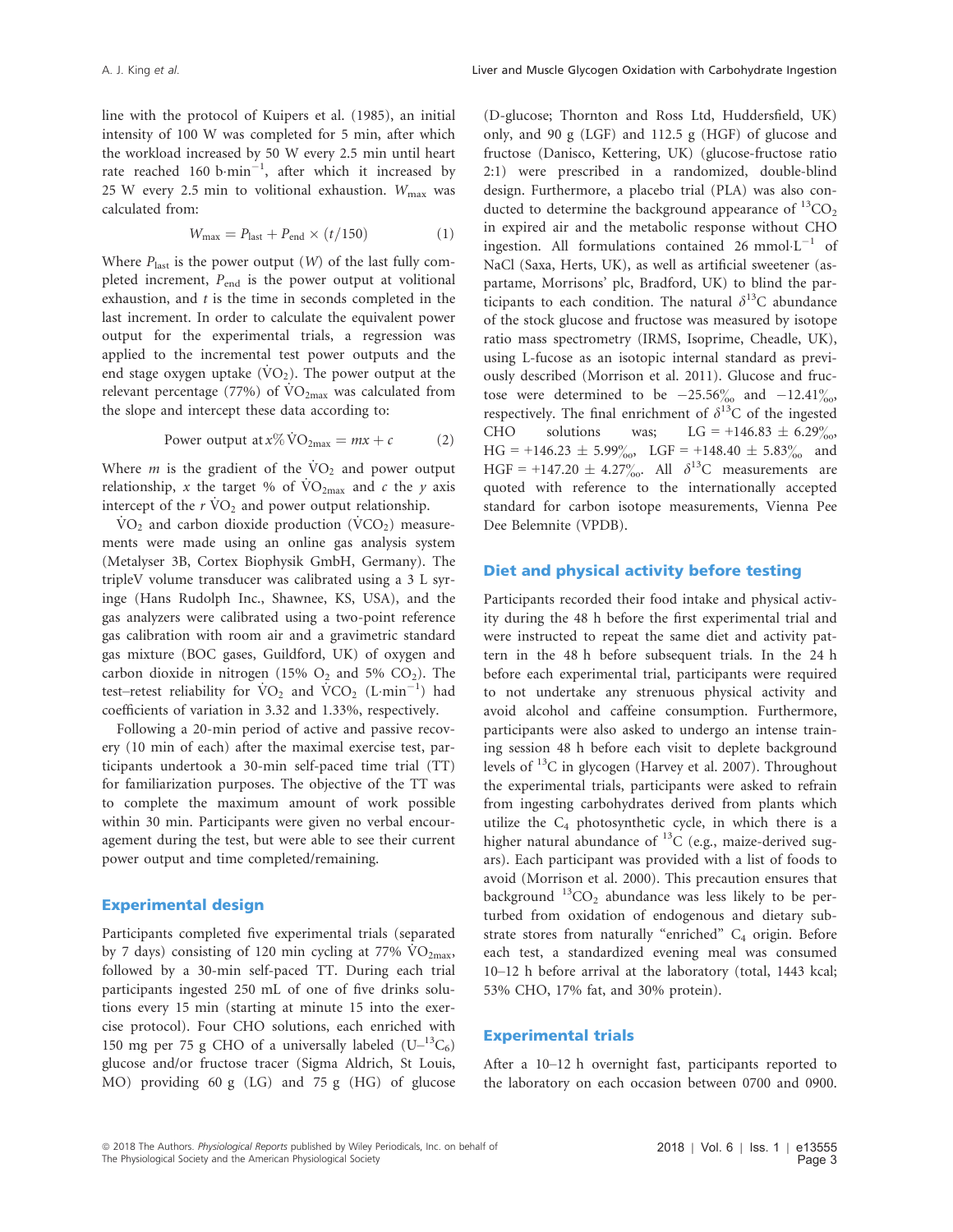line with the protocol of Kuipers et al. (1985), an initial intensity of 100 W was completed for 5 min, after which the workload increased by 50 W every 2.5 min until heart rate reached  $160$  b $\cdot$ min<sup>-1</sup>, after which it increased by 25 W every 2.5 min to volitional exhaustion.  $W_{\text{max}}$  was calculated from:

$$
W_{\text{max}} = P_{\text{last}} + P_{\text{end}} \times (t/150) \tag{1}
$$

Where  $P_{\text{last}}$  is the power output (W) of the last fully completed increment,  $P_{\text{end}}$  is the power output at volitional exhaustion, and  $t$  is the time in seconds completed in the last increment. In order to calculate the equivalent power output for the experimental trials, a regression was applied to the incremental test power outputs and the end stage oxygen uptake  $(\rm VO_2)$ . The power output at the relevant percentage (77%) of  $\rm VO_{2max}$  was calculated from the slope and intercept these data according to:

Power output at 
$$
x\%
$$
  $\dot{V}O_{2max} = mx + c$  (2)

Where *m* is the gradient of the  $VO<sub>2</sub>$  and power output relationship, x the target % of  $\rm \dot{VO}_{2max}$  and c the y axis intercept of the  $r \dot{V}O_2$  and power output relationship.

 $VO<sub>2</sub>$  and carbon dioxide production (VCO<sub>2</sub>) measurements were made using an online gas analysis system (Metalyser 3B, Cortex Biophysik GmbH, Germany). The tripleV volume transducer was calibrated using a 3 L syringe (Hans Rudolph Inc., Shawnee, KS, USA), and the gas analyzers were calibrated using a two-point reference gas calibration with room air and a gravimetric standard gas mixture (BOC gases, Guildford, UK) of oxygen and carbon dioxide in nitrogen (15%  $O_2$  and 5%  $CO_2$ ). The test–retest reliability for  $\text{VO}_2$  and  $\text{VCO}_2$  (L·min<sup>-1</sup>) had coefficients of variation in 3.32 and 1.33%, respectively.

Following a 20-min period of active and passive recovery (10 min of each) after the maximal exercise test, participants undertook a 30-min self-paced time trial (TT) for familiarization purposes. The objective of the TT was to complete the maximum amount of work possible within 30 min. Participants were given no verbal encouragement during the test, but were able to see their current power output and time completed/remaining.

#### Experimental design

Participants completed five experimental trials (separated by 7 days) consisting of 120 min cycling at 77%  $\rm VO_{2max}$ , followed by a 30-min self-paced TT. During each trial participants ingested 250 mL of one of five drinks solutions every 15 min (starting at minute 15 into the exercise protocol). Four CHO solutions, each enriched with 150 mg per 75 g CHO of a universally labeled  $(U^{-13}C_6)$ glucose and/or fructose tracer (Sigma Aldrich, St Louis, MO) providing 60 g (LG) and 75 g (HG) of glucose

(D-glucose; Thornton and Ross Ltd, Huddersfield, UK) only, and 90 g (LGF) and 112.5 g (HGF) of glucose and fructose (Danisco, Kettering, UK) (glucose-fructose ratio 2:1) were prescribed in a randomized, double-blind design. Furthermore, a placebo trial (PLA) was also conducted to determine the background appearance of  ${}^{13}CO<sub>2</sub>$ in expired air and the metabolic response without CHO ingestion. All formulations contained 26 mmol $\cdot L^{-1}$  of NaCl (Saxa, Herts, UK), as well as artificial sweetener (aspartame, Morrisons' plc, Bradford, UK) to blind the participants to each condition. The natural  $\delta^{13}$ C abundance of the stock glucose and fructose was measured by isotope ratio mass spectrometry (IRMS, Isoprime, Cheadle, UK), using L-fucose as an isotopic internal standard as previously described (Morrison et al. 2011). Glucose and fructose were determined to be  $-25.56\%$  and  $-12.41\%$ . respectively. The final enrichment of  $\delta^{13}$ C of the ingested CHO solutions was; LG = +146.83  $\pm$  6.29%,  $HG = +146.23 \pm 5.99\%_{00}$ , LGF = +148.40  $\pm$  5.83% and HGF = +147.20  $\pm$  4.27%. All  $\delta^{13}$ C measurements are quoted with reference to the internationally accepted standard for carbon isotope measurements, Vienna Pee Dee Belemnite (VPDB).

#### Diet and physical activity before testing

Participants recorded their food intake and physical activity during the 48 h before the first experimental trial and were instructed to repeat the same diet and activity pattern in the 48 h before subsequent trials. In the 24 h before each experimental trial, participants were required to not undertake any strenuous physical activity and avoid alcohol and caffeine consumption. Furthermore, participants were also asked to undergo an intense training session 48 h before each visit to deplete background levels of  $^{13}$ C in glycogen (Harvey et al. 2007). Throughout the experimental trials, participants were asked to refrain from ingesting carbohydrates derived from plants which utilize the  $C_4$  photosynthetic cycle, in which there is a higher natural abundance of <sup>13</sup>C (e.g., maize-derived sugars). Each participant was provided with a list of foods to avoid (Morrison et al. 2000). This precaution ensures that background  ${}^{13}CO_2$  abundance was less likely to be perturbed from oxidation of endogenous and dietary substrate stores from naturally "enriched"  $C_4$  origin. Before each test, a standardized evening meal was consumed 10–12 h before arrival at the laboratory (total, 1443 kcal; 53% CHO, 17% fat, and 30% protein).

#### Experimental trials

After a 10–12 h overnight fast, participants reported to the laboratory on each occasion between 0700 and 0900.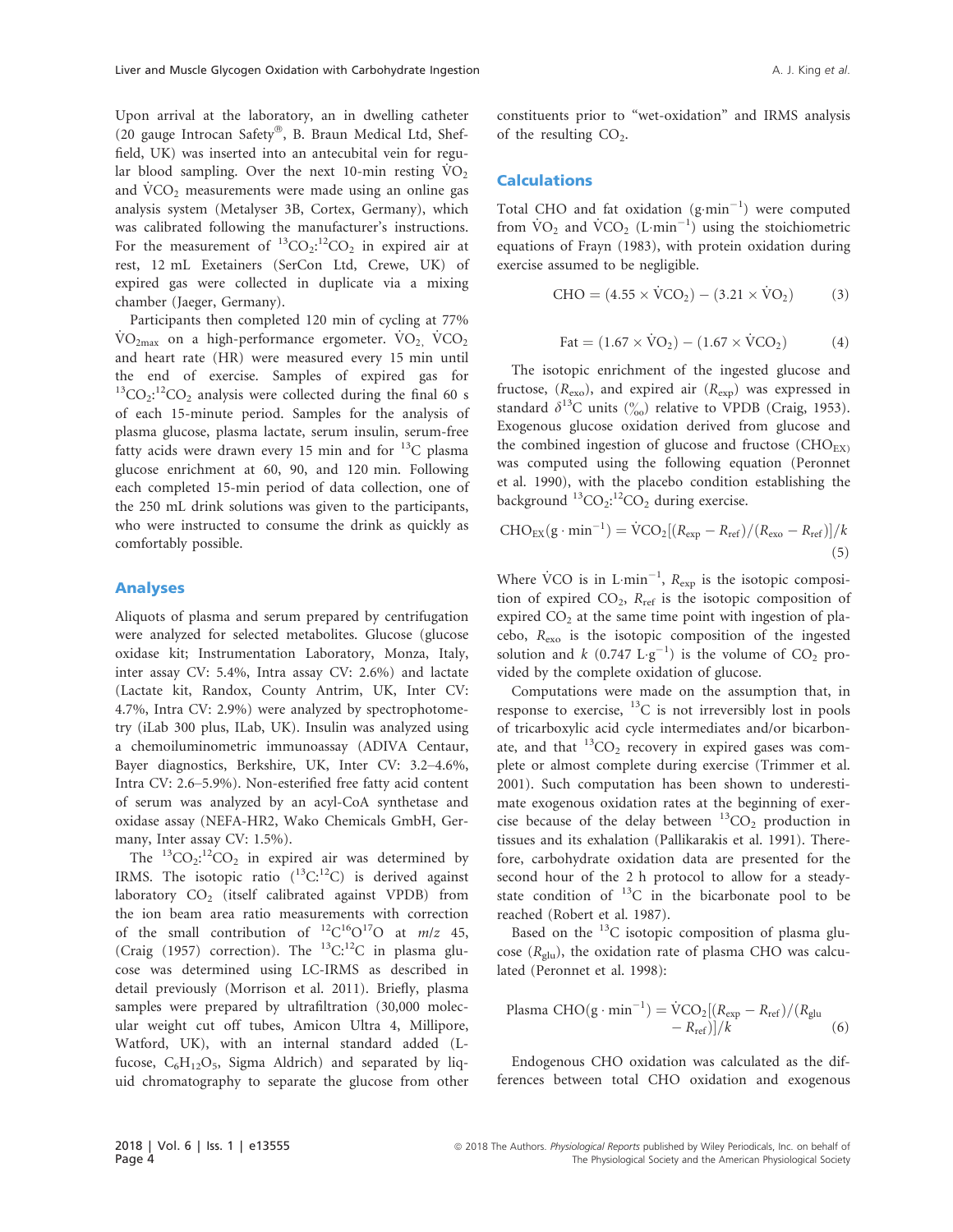Upon arrival at the laboratory, an in dwelling catheter (20 gauge Introcan Safety®, B. Braun Medical Ltd, Sheffield, UK) was inserted into an antecubital vein for regular blood sampling. Over the next 10-min resting  $\text{VO}_2$ and  $\dot{V}CO<sub>2</sub>$  measurements were made using an online gas analysis system (Metalyser 3B, Cortex, Germany), which was calibrated following the manufacturer's instructions. For the measurement of  ${}^{13}CO_2$ :  ${}^{12}CO_2$  in expired air at rest, 12 mL Exetainers (SerCon Ltd, Crewe, UK) of expired gas were collected in duplicate via a mixing chamber (Jaeger, Germany).

Participants then completed 120 min of cycling at 77%  $\text{VO}_{2\text{max}}$  on a high-performance ergometer.  $\text{VO}_2$ ,  $\text{VCO}_2$ and heart rate (HR) were measured every 15 min until the end of exercise. Samples of expired gas for  ${}^{13}CO_2$ :  ${}^{12}CO_2$  analysis were collected during the final 60 s of each 15-minute period. Samples for the analysis of plasma glucose, plasma lactate, serum insulin, serum-free fatty acids were drawn every 15 min and for  $^{13}$ C plasma glucose enrichment at 60, 90, and 120 min. Following each completed 15-min period of data collection, one of the 250 mL drink solutions was given to the participants, who were instructed to consume the drink as quickly as comfortably possible.

#### Analyses

Aliquots of plasma and serum prepared by centrifugation were analyzed for selected metabolites. Glucose (glucose oxidase kit; Instrumentation Laboratory, Monza, Italy, inter assay CV: 5.4%, Intra assay CV: 2.6%) and lactate (Lactate kit, Randox, County Antrim, UK, Inter CV: 4.7%, Intra CV: 2.9%) were analyzed by spectrophotometry (iLab 300 plus, ILab, UK). Insulin was analyzed using a chemoiluminometric immunoassay (ADIVA Centaur, Bayer diagnostics, Berkshire, UK, Inter CV: 3.2–4.6%, Intra CV: 2.6–5.9%). Non-esterified free fatty acid content of serum was analyzed by an acyl-CoA synthetase and oxidase assay (NEFA-HR2, Wako Chemicals GmbH, Germany, Inter assay CV: 1.5%).

The  ${}^{13}CO_2$ :  ${}^{12}CO_2$  in expired air was determined by IRMS. The isotopic ratio  $(^{13}C;^{12}C)$  is derived against laboratory  $CO<sub>2</sub>$  (itself calibrated against VPDB) from the ion beam area ratio measurements with correction of the small contribution of  ${}^{12}C^{16}O^{17}O$  at  $m/z$  45, (Craig (1957) correction). The  ${}^{13}$ C:<sup>12</sup>C in plasma glucose was determined using LC-IRMS as described in detail previously (Morrison et al. 2011). Briefly, plasma samples were prepared by ultrafiltration (30,000 molecular weight cut off tubes, Amicon Ultra 4, Millipore, Watford, UK), with an internal standard added (Lfucose,  $C_6H_{12}O_5$ , Sigma Aldrich) and separated by liquid chromatography to separate the glucose from other constituents prior to "wet-oxidation" and IRMS analysis of the resulting  $CO<sub>2</sub>$ .

#### Calculations

Total CHO and fat oxidation  $(g \text{ min}^{-1})$  were computed from  $\text{VO}_2$  and  $\text{VCO}_2$  (L·min<sup>-1</sup>) using the stoichiometric equations of Frayn (1983), with protein oxidation during exercise assumed to be negligible.

$$
CHO = (4.55 \times \text{VCO}_2) - (3.21 \times \text{VO}_2) \tag{3}
$$

$$
Fat = (1.67 \times \text{VO}_2) - (1.67 \times \text{VCO}_2) \tag{4}
$$

The isotopic enrichment of the ingested glucose and fructose,  $(R_{\text{exo}})$ , and expired air  $(R_{\text{exp}})$  was expressed in standard  $\delta^{13}$ C units ( $\frac{\%}{\%}$ ) relative to VPDB (Craig, 1953). Exogenous glucose oxidation derived from glucose and the combined ingestion of glucose and fructose  $(CHO_{EX})$ was computed using the following equation (Peronnet et al. 1990), with the placebo condition establishing the background  ${}^{13}CO_2$ : ${}^{12}CO_2$  during exercise.

$$
CHO_{EX}(g \cdot min^{-1}) = \dot{V}CO_{2}[(R_{exp} - R_{ref})/(R_{exo} - R_{ref})]/k
$$
\n(5)

Where VCO is in  $L \cdot \text{min}^{-1}$ ,  $R_{exp}$  is the isotopic composition of expired  $CO<sub>2</sub>$ ,  $R_{ref}$  is the isotopic composition of expired  $CO<sub>2</sub>$  at the same time point with ingestion of placebo,  $R_{\text{exo}}$  is the isotopic composition of the ingested solution and  $k$  (0.747 L·g<sup>-1</sup>) is the volume of CO<sub>2</sub> provided by the complete oxidation of glucose.

Computations were made on the assumption that, in response to exercise,  $^{13}$ C is not irreversibly lost in pools of tricarboxylic acid cycle intermediates and/or bicarbonate, and that  ${}^{13}CO_2$  recovery in expired gases was complete or almost complete during exercise (Trimmer et al. 2001). Such computation has been shown to underestimate exogenous oxidation rates at the beginning of exercise because of the delay between  ${}^{13}CO_2$  production in tissues and its exhalation (Pallikarakis et al. 1991). Therefore, carbohydrate oxidation data are presented for the second hour of the 2 h protocol to allow for a steadystate condition of  $^{13}$ C in the bicarbonate pool to be reached (Robert et al. 1987).

Based on the  $^{13}$ C isotopic composition of plasma glucose  $(R_{\text{glu}})$ , the oxidation rate of plasma CHO was calculated (Peronnet et al. 1998):

Plasma CHO(g·min<sup>-1</sup>) = 
$$
\text{VCO}_2[(R_{\text{exp}} - R_{\text{ref}})/(R_{\text{glu}} - R_{\text{ref}})]/k
$$
 (6)

Endogenous CHO oxidation was calculated as the differences between total CHO oxidation and exogenous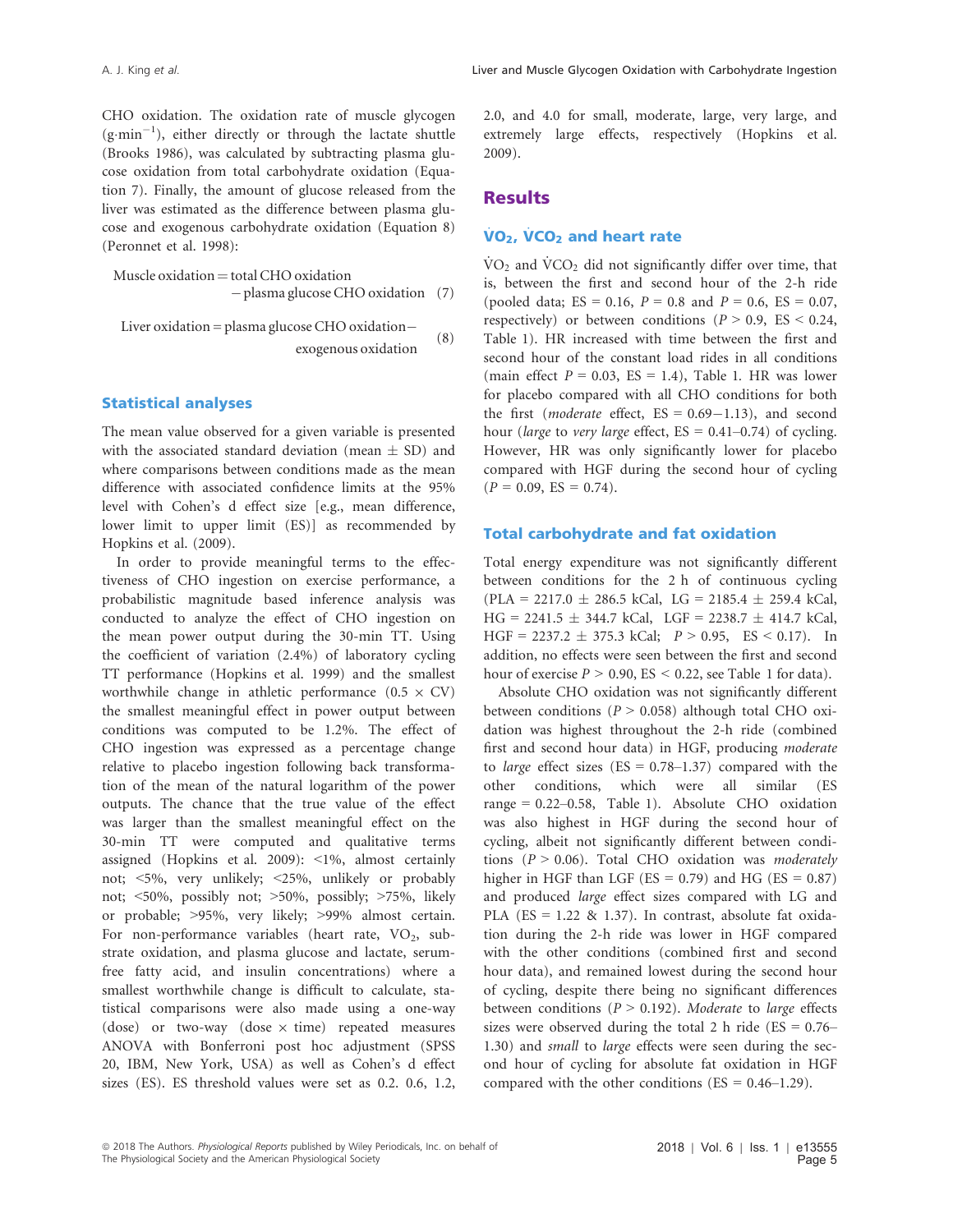CHO oxidation. The oxidation rate of muscle glycogen  $(g·min<sup>-1</sup>)$ , either directly or through the lactate shuttle (Brooks 1986), was calculated by subtracting plasma glucose oxidation from total carbohydrate oxidation (Equation 7). Finally, the amount of glucose released from the liver was estimated as the difference between plasma glucose and exogenous carbohydrate oxidation (Equation 8) (Peronnet et al. 1998):

 $M$ uscle oxidation  $=$  total CHO oxidation plasma glucose CHO oxidation (7)

Liver oxidation = plasma glucose CHO oxidation exogenous oxidation (8)

#### Statistical analyses

The mean value observed for a given variable is presented with the associated standard deviation (mean  $\pm$  SD) and where comparisons between conditions made as the mean difference with associated confidence limits at the 95% level with Cohen's d effect size [e.g., mean difference, lower limit to upper limit (ES)] as recommended by Hopkins et al. (2009).

In order to provide meaningful terms to the effectiveness of CHO ingestion on exercise performance, a probabilistic magnitude based inference analysis was conducted to analyze the effect of CHO ingestion on the mean power output during the 30-min TT. Using the coefficient of variation (2.4%) of laboratory cycling TT performance (Hopkins et al. 1999) and the smallest worthwhile change in athletic performance  $(0.5 \times CV)$ the smallest meaningful effect in power output between conditions was computed to be 1.2%. The effect of CHO ingestion was expressed as a percentage change relative to placebo ingestion following back transformation of the mean of the natural logarithm of the power outputs. The chance that the true value of the effect was larger than the smallest meaningful effect on the 30-min TT were computed and qualitative terms assigned (Hopkins et al. 2009): <1%, almost certainly not; <5%, very unlikely; <25%, unlikely or probably not; <50%, possibly not; >50%, possibly; >75%, likely or probable; >95%, very likely; >99% almost certain. For non-performance variables (heart rate,  $VO_2$ , substrate oxidation, and plasma glucose and lactate, serumfree fatty acid, and insulin concentrations) where a smallest worthwhile change is difficult to calculate, statistical comparisons were also made using a one-way (dose) or two-way (dose  $\times$  time) repeated measures ANOVA with Bonferroni post hoc adjustment (SPSS 20, IBM, New York, USA) as well as Cohen's d effect sizes (ES). ES threshold values were set as 0.2. 0.6, 1.2,

2.0, and 4.0 for small, moderate, large, very large, and extremely large effects, respectively (Hopkins et al. 2009).

# **Results**

#### $VO<sub>2</sub>$ ,  $VCO<sub>2</sub>$  and heart rate

 $\rm \dot{VO}_2$  and  $\rm \dot{V}CO_2$  did not significantly differ over time, that is, between the first and second hour of the 2-h ride (pooled data; ES = 0.16,  $P = 0.8$  and  $P = 0.6$ , ES = 0.07, respectively) or between conditions ( $P > 0.9$ , ES  $< 0.24$ , Table 1). HR increased with time between the first and second hour of the constant load rides in all conditions (main effect  $P = 0.03$ ,  $ES = 1.4$ ), Table 1. HR was lower for placebo compared with all CHO conditions for both the first (*moderate* effect,  $ES = 0.69 - 1.13$ ), and second hour (large to very large effect,  $ES = 0.41 - 0.74$ ) of cycling. However, HR was only significantly lower for placebo compared with HGF during the second hour of cycling  $(P = 0.09, ES = 0.74).$ 

#### Total carbohydrate and fat oxidation

Total energy expenditure was not significantly different between conditions for the 2 h of continuous cycling  $(PLA = 2217.0 \pm 286.5 \text{ kCal}, \text{ LG} = 2185.4 \pm 259.4 \text{ kCal},$  $HG = 2241.5 \pm 344.7$  kCal, LGF = 2238.7  $\pm$  414.7 kCal,  $HGF = 2237.2 \pm 375.3$  kCal;  $P > 0.95$ ,  $ES < 0.17$ ). In addition, no effects were seen between the first and second hour of exercise  $P > 0.90$ , ES  $< 0.22$ , see Table 1 for data).

Absolute CHO oxidation was not significantly different between conditions ( $P > 0.058$ ) although total CHO oxidation was highest throughout the 2-h ride (combined first and second hour data) in HGF, producing moderate to *large* effect sizes (ES =  $0.78-1.37$ ) compared with the other conditions, which were all similar (ES range = 0.22–0.58, Table 1). Absolute CHO oxidation was also highest in HGF during the second hour of cycling, albeit not significantly different between conditions  $(P > 0.06)$ . Total CHO oxidation was *moderately* higher in HGF than LGF (ES =  $0.79$ ) and HG (ES =  $0.87$ ) and produced large effect sizes compared with LG and PLA (ES = 1.22 & 1.37). In contrast, absolute fat oxidation during the 2-h ride was lower in HGF compared with the other conditions (combined first and second hour data), and remained lowest during the second hour of cycling, despite there being no significant differences between conditions ( $P > 0.192$ ). Moderate to large effects sizes were observed during the total 2 h ride ( $ES = 0.76-$ 1.30) and small to large effects were seen during the second hour of cycling for absolute fat oxidation in HGF compared with the other conditions ( $ES = 0.46-1.29$ ).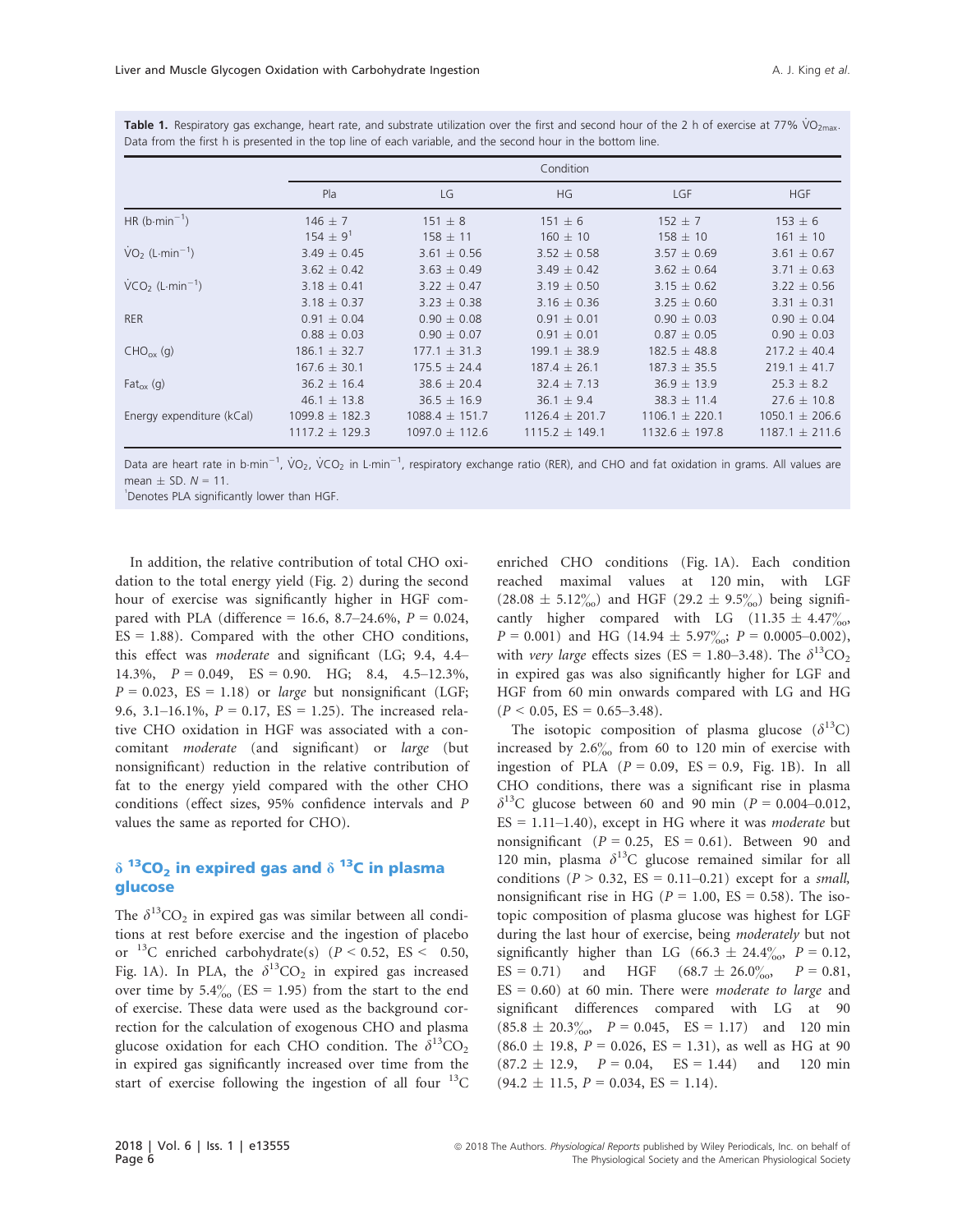|                               | Condition          |                    |                    |                    |                    |
|-------------------------------|--------------------|--------------------|--------------------|--------------------|--------------------|
|                               | Pla                | LG                 | <b>HG</b>          | <b>LGF</b>         | <b>HGF</b>         |
| HR $(b\cdot min^{-1})$        | $146 \pm 7$        | $151 \pm 8$        | $151 \pm 6$        | $152 \pm 7$        | $153 \pm 6$        |
|                               | $154 + 9^1$        | $158 \pm 11$       | $160 \pm 10$       | $158 \pm 10$       | $161 \pm 10$       |
| $VO2$ (L-min <sup>-1</sup> )  | $3.49 + 0.45$      | $3.61 \pm 0.56$    | $3.52 \pm 0.58$    | $3.57 + 0.69$      | $3.61 \pm 0.67$    |
|                               | $3.62 + 0.42$      | $3.63 + 0.49$      | $3.49 + 0.42$      | $3.62 + 0.64$      | $3.71 + 0.63$      |
| $VCO2$ (L-min <sup>-1</sup> ) | $3.18 + 0.41$      | $3.22 + 0.47$      | $3.19 + 0.50$      | $3.15 + 0.62$      | $3.22 + 0.56$      |
|                               | $3.18 + 0.37$      | $3.23 + 0.38$      | $3.16 + 0.36$      | $3.25 + 0.60$      | $3.31 + 0.31$      |
| <b>RER</b>                    | $0.91 \pm 0.04$    | $0.90 + 0.08$      | $0.91 + 0.01$      | $0.90 \pm 0.03$    | $0.90 + 0.04$      |
|                               | $0.88 + 0.03$      | $0.90 + 0.07$      | $0.91 + 0.01$      | $0.87 + 0.05$      | $0.90 + 0.03$      |
| $CHO_{ox}$ (g)                | $186.1 \pm 32.7$   | $177.1 + 31.3$     | $199.1 + 38.9$     | $182.5 + 48.8$     | $217.2 + 40.4$     |
|                               | $167.6 + 30.1$     | $175.5 + 24.4$     | $187.4 + 26.1$     | $187.3 + 35.5$     | $219.1 + 41.7$     |
| $\text{Fat}_{\text{ox}}(q)$   | $36.2 \pm 16.4$    | $38.6 + 20.4$      | $32.4 + 7.13$      | $36.9 + 13.9$      | $25.3 + 8.2$       |
|                               | $46.1 \pm 13.8$    | $36.5 \pm 16.9$    | $36.1 \pm 9.4$     | $38.3 \pm 11.4$    | $27.6 \pm 10.8$    |
| Energy expenditure (kCal)     | $1099.8 + 182.3$   | $1088.4 + 151.7$   | $1126.4 + 201.7$   | $1106.1 \pm 220.1$ | $1050.1 \pm 206.6$ |
|                               | $1117.2 \pm 129.3$ | $1097.0 \pm 112.6$ | $1115.2 \pm 149.1$ | $1132.6 \pm 197.8$ | $1187.1 \pm 211.6$ |

Table 1. Respiratory gas exchange, heart rate, and substrate utilization over the first and second hour of the 2 h of exercise at 77% VO<sub>2max</sub>. Data from the first h is presented in the top line of each variable, and the second hour in the bottom line.

Data are heart rate in b $\cdot$ min $^{-1}$ , VO<sub>2</sub>, VCO<sub>2</sub> in L $\cdot$ min $^{-1}$ , respiratory exchange ratio (RER), and CHO and fat oxidation in grams. All values are mean  $+$  SD.  $N = 11$ .

Denotes PLA significantly lower than HGF.

In addition, the relative contribution of total CHO oxidation to the total energy yield (Fig. 2) during the second hour of exercise was significantly higher in HGF compared with PLA (difference = 16.6, 8.7–24.6%,  $P = 0.024$ ,  $ES = 1.88$ ). Compared with the other CHO conditions, this effect was moderate and significant (LG; 9.4, 4.4– 14.3%,  $P = 0.049$ ,  $ES = 0.90$ . HG; 8.4, 4.5-12.3%,  $P = 0.023$ ,  $ES = 1.18$ ) or *large* but nonsignificant (LGF; 9.6, 3.1–16.1%, P = 0.17, ES = 1.25). The increased relative CHO oxidation in HGF was associated with a concomitant moderate (and significant) or large (but nonsignificant) reduction in the relative contribution of fat to the energy yield compared with the other CHO conditions (effect sizes, 95% confidence intervals and P values the same as reported for CHO).

# $\delta$  <sup>13</sup>CO<sub>2</sub> in expired gas and  $\delta$  <sup>13</sup>C in plasma glucose

The  $\delta^{13}$ CO<sub>2</sub> in expired gas was similar between all conditions at rest before exercise and the ingestion of placebo or  $^{13}$ C enriched carbohydrate(s) ( $P < 0.52$ , ES < 0.50, Fig. 1A). In PLA, the  $\delta^{13}CO_2$  in expired gas increased over time by  $5.4\%$  (ES = 1.95) from the start to the end of exercise. These data were used as the background correction for the calculation of exogenous CHO and plasma glucose oxidation for each CHO condition. The  $\delta^{13}CO_2$ in expired gas significantly increased over time from the start of exercise following the ingestion of all four  $^{13}$ C enriched CHO conditions (Fig. 1A). Each condition reached maximal values at 120 min, with LGF  $(28.08 \pm 5.12\%)$  and HGF  $(29.2 \pm 9.5\%)$  being significantly higher compared with LG  $(11.35 \pm 4.47)$ %  $P = 0.001$ ) and HG (14.94  $\pm$  5.97%;  $P = 0.0005{\text -}0.002$ ), with very large effects sizes (ES = 1.80–3.48). The  $\delta^{13}CO_2$ in expired gas was also significantly higher for LGF and HGF from 60 min onwards compared with LG and HG  $(P < 0.05, ES = 0.65 - 3.48).$ 

The isotopic composition of plasma glucose  $(\delta^{13}C)$ increased by  $2.6\%$  from 60 to 120 min of exercise with ingestion of PLA  $(P = 0.09, ES = 0.9, Fig. 1B)$ . In all CHO conditions, there was a significant rise in plasma  $\delta^{13}$ C glucose between 60 and 90 min (P = 0.004–0.012,  $ES = 1.11-1.40$ , except in HG where it was *moderate* but nonsignificant  $(P = 0.25, ES = 0.61)$ . Between 90 and 120 min, plasma  $\delta^{13}$ C glucose remained similar for all conditions ( $P > 0.32$ ,  $ES = 0.11{\text{-}}0.21$ ) except for a *small*, nonsignificant rise in HG ( $P = 1.00$ , ES = 0.58). The isotopic composition of plasma glucose was highest for LGF during the last hour of exercise, being moderately but not significantly higher than LG (66.3  $\pm$  24.4‰, P = 0.12, ES = 0.71) and HGF  $(68.7 \pm 26.0\%_{00}, P = 0.81,$  $ES = 0.60$ ) at 60 min. There were *moderate to large* and significant differences compared with LG at 90  $(85.8 \pm 20.3\%_{00}, P = 0.045, ES = 1.17)$  and 120 min  $(86.0 \pm 19.8, P = 0.026, ES = 1.31)$ , as well as HG at 90<br> $(87.2 + 12.9, P = 0.04, ES = 1.44)$  and 120 min  $(87.2 \pm 12.9, \quad P = 0.04, \quad ES = 1.44)$  and  $(94.2 \pm 11.5, P = 0.034, ES = 1.14).$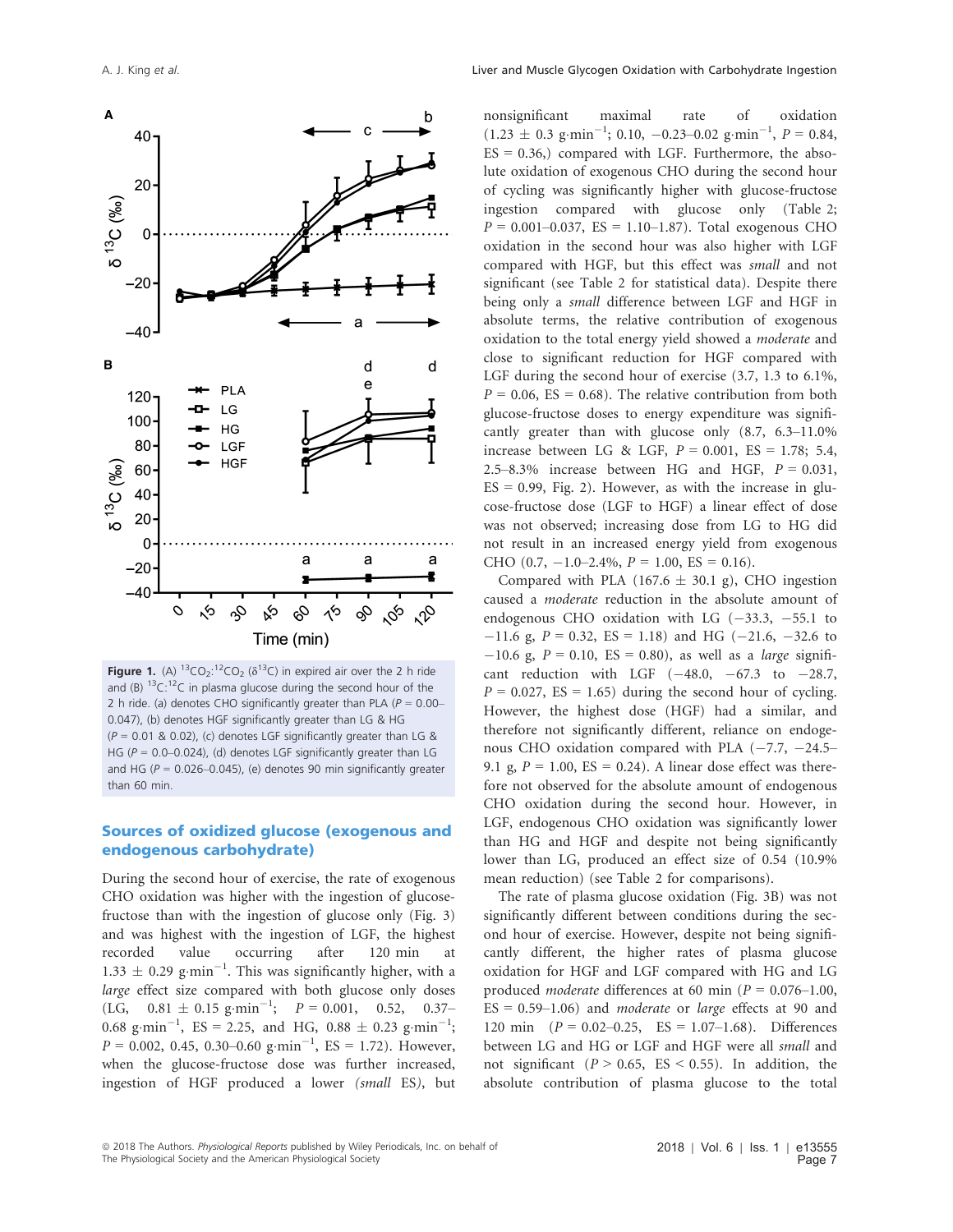

**Figure 1.** (A)  $^{13}CO_2$ :  $^{12}CO_2$  ( $\delta^{13}C$ ) in expired air over the 2 h ride and (B)  $13C:12C$  in plasma glucose during the second hour of the 2 h ride. (a) denotes CHO significantly greater than PLA ( $P = 0.00-$ 0.047), (b) denotes HGF significantly greater than LG & HG  $(P = 0.01 \& 0.02)$ , (c) denotes LGF significantly greater than LG & HG ( $P = 0.0-0.024$ ), (d) denotes LGF significantly greater than LG and HG ( $P = 0.026 - 0.045$ ), (e) denotes 90 min significantly greater than 60 min.

# Sources of oxidized glucose (exogenous and endogenous carbohydrate)

During the second hour of exercise, the rate of exogenous CHO oxidation was higher with the ingestion of glucosefructose than with the ingestion of glucose only (Fig. 3) and was highest with the ingestion of LGF, the highest recorded value occurring after 120 min at  $1.33 \pm 0.29$  g·min<sup>-1</sup>. This was significantly higher, with a large effect size compared with both glucose only doses (LG,  $0.81 \pm 0.15$  g·min<sup>-1</sup>;  $P = 0.001$ , 0.52, 0.37-0.68 g·min<sup>-1</sup>, ES = 2.25, and HG, 0.88  $\pm$  0.23 g·min<sup>-1</sup>;  $P = 0.002, 0.45, 0.30 - 0.60$  g·min<sup>-1</sup>, ES = 1.72). However, when the glucose-fructose dose was further increased, ingestion of HGF produced a lower (small ES), but nonsignificant maximal rate of oxidation  $(1.23 \pm 0.3 \text{ g}\cdot \text{min}^{-1}; 0.10, -0.23 - 0.02 \text{ g}\cdot \text{min}^{-1}, P = 0.84,$  $ES = 0.36$ ,) compared with LGF. Furthermore, the absolute oxidation of exogenous CHO during the second hour of cycling was significantly higher with glucose-fructose ingestion compared with glucose only (Table 2;  $P = 0.001 - 0.037$ , ES = 1.10-1.87). Total exogenous CHO oxidation in the second hour was also higher with LGF compared with HGF, but this effect was small and not significant (see Table 2 for statistical data). Despite there being only a small difference between LGF and HGF in absolute terms, the relative contribution of exogenous oxidation to the total energy yield showed a moderate and close to significant reduction for HGF compared with LGF during the second hour of exercise (3.7, 1.3 to 6.1%,  $P = 0.06$ , ES = 0.68). The relative contribution from both glucose-fructose doses to energy expenditure was significantly greater than with glucose only (8.7, 6.3–11.0% increase between LG & LGF,  $P = 0.001$ , ES = 1.78; 5.4, 2.5–8.3% increase between HG and HGF,  $P = 0.031$ ,  $ES = 0.99$ , Fig. 2). However, as with the increase in glucose-fructose dose (LGF to HGF) a linear effect of dose was not observed; increasing dose from LG to HG did not result in an increased energy yield from exogenous CHO  $(0.7, -1.0-2.4\%, P = 1.00, ES = 0.16)$ .

Compared with PLA (167.6  $\pm$  30.1 g), CHO ingestion caused a moderate reduction in the absolute amount of endogenous CHO oxidation with LG  $(-33.3, -55.1$  to  $-11.6$  g,  $P = 0.32$ ,  $ES = 1.18$ ) and HG ( $-21.6$ ,  $-32.6$  to  $-10.6$  g,  $P = 0.10$ ,  $ES = 0.80$ ), as well as a *large* significant reduction with LGF  $(-48.0, -67.3 \text{ to } -28.7,$  $P = 0.027$ , ES = 1.65) during the second hour of cycling. However, the highest dose (HGF) had a similar, and therefore not significantly different, reliance on endogenous CHO oxidation compared with PLA  $(-7.7, -24.5-$ 9.1 g,  $P = 1.00$ ,  $ES = 0.24$ ). A linear dose effect was therefore not observed for the absolute amount of endogenous CHO oxidation during the second hour. However, in LGF, endogenous CHO oxidation was significantly lower than HG and HGF and despite not being significantly lower than LG, produced an effect size of 0.54 (10.9% mean reduction) (see Table 2 for comparisons).

The rate of plasma glucose oxidation (Fig. 3B) was not significantly different between conditions during the second hour of exercise. However, despite not being significantly different, the higher rates of plasma glucose oxidation for HGF and LGF compared with HG and LG produced *moderate* differences at 60 min ( $P = 0.076{\text -}1.00$ ,  $ES = 0.59-1.06$ ) and *moderate* or *large* effects at 90 and 120 min  $(P = 0.02 - 0.25, ES = 1.07 - 1.68)$ . Differences between LG and HG or LGF and HGF were all small and not significant ( $P > 0.65$ ,  $ES < 0.55$ ). In addition, the absolute contribution of plasma glucose to the total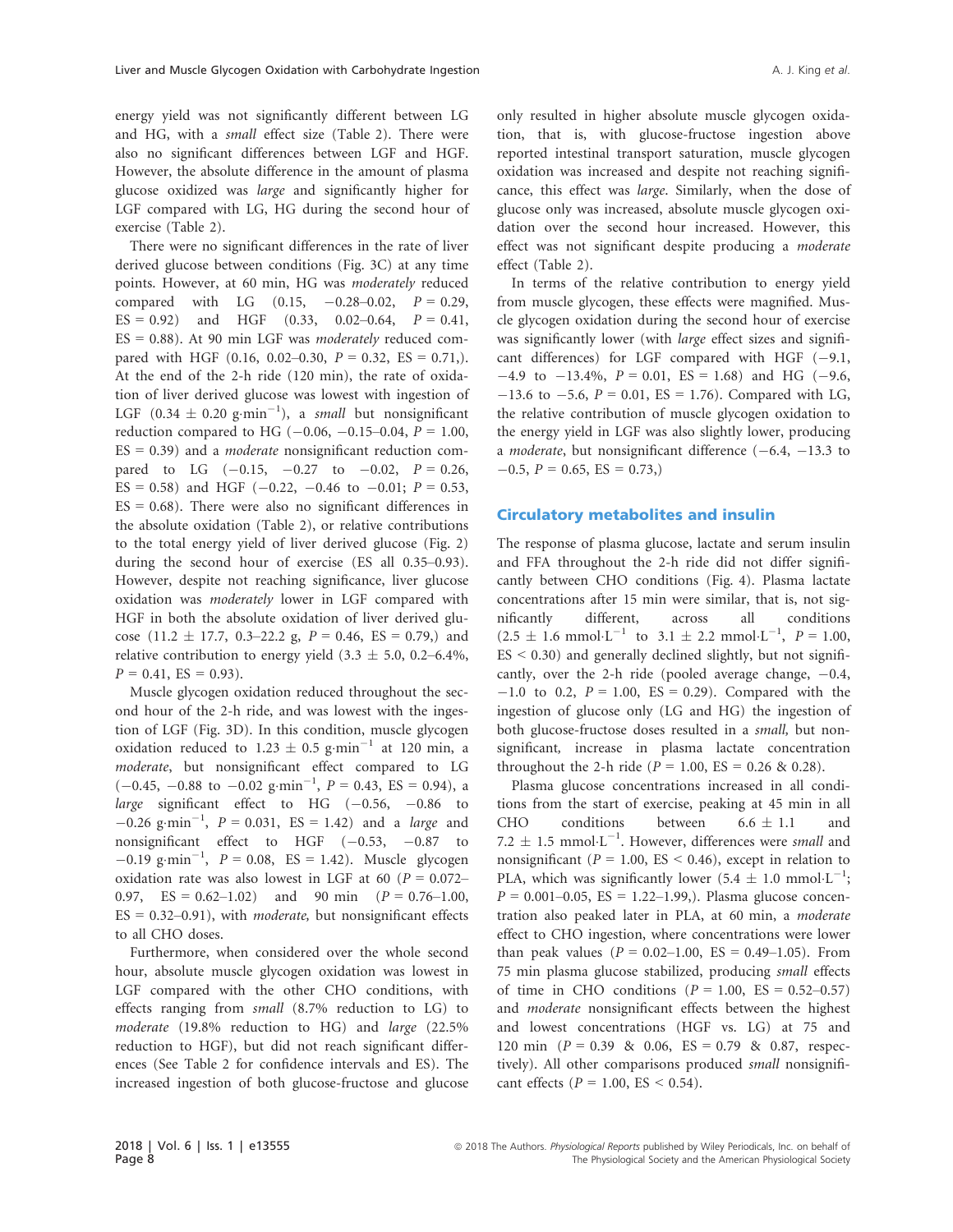energy yield was not significantly different between LG and HG, with a small effect size (Table 2). There were also no significant differences between LGF and HGF. However, the absolute difference in the amount of plasma glucose oxidized was large and significantly higher for LGF compared with LG, HG during the second hour of exercise (Table 2).

There were no significant differences in the rate of liver derived glucose between conditions (Fig. 3C) at any time points. However, at 60 min, HG was moderately reduced compared with LG  $(0.15, -0.28-0.02, P = 0.29,$  $ES = 0.92$  and HGF  $(0.33, 0.02-0.64, P = 0.41,$  $ES = 0.88$ ). At 90 min LGF was *moderately* reduced compared with HGF (0.16, 0.02–0.30,  $P = 0.32$ , ES = 0.71,). At the end of the 2-h ride (120 min), the rate of oxidation of liver derived glucose was lowest with ingestion of LGF  $(0.34 \pm 0.20 \text{ g-min}^{-1})$ , a *small* but nonsignificant reduction compared to HG  $(-0.06, -0.15-0.04, P = 1.00,$  $ES = 0.39$ ) and a *moderate* nonsignificant reduction compared to LG  $(-0.15, -0.27$  to  $-0.02, P = 0.26$ , ES = 0.58) and HGF (-0.22, -0.46 to -0.01;  $P = 0.53$ ,  $ES = 0.68$ ). There were also no significant differences in the absolute oxidation (Table 2), or relative contributions to the total energy yield of liver derived glucose (Fig. 2) during the second hour of exercise (ES all 0.35–0.93). However, despite not reaching significance, liver glucose oxidation was moderately lower in LGF compared with HGF in both the absolute oxidation of liver derived glucose (11.2  $\pm$  17.7, 0.3–22.2 g, P = 0.46, ES = 0.79,) and relative contribution to energy yield  $(3.3 \pm 5.0, 0.2 - 6.4\%)$  $P = 0.41$ , ES = 0.93).

Muscle glycogen oxidation reduced throughout the second hour of the 2-h ride, and was lowest with the ingestion of LGF (Fig. 3D). In this condition, muscle glycogen oxidation reduced to 1.23  $\pm$  0.5 g·min<sup>-1</sup> at 120 min, a moderate, but nonsignificant effect compared to LG  $(-0.45, -0.88 \text{ to } -0.02 \text{ g·min}^{-1}, P = 0.43, ES = 0.94)$ , a large significant effect to HG  $(-0.56, -0.86$  to  $-0.26$  g·min<sup>-1</sup>,  $P = 0.031$ ,  $ES = 1.42$ ) and a *large* and nonsignificant effect to HGF  $(-0.53, -0.87)$  to  $-0.19$  g·min<sup>-1</sup>,  $P = 0.08$ , ES = 1.42). Muscle glycogen oxidation rate was also lowest in LGF at 60 ( $P = 0.072-$ 0.97,  $ES = 0.62-1.02$  and 90 min  $(P = 0.76-1.00,$  $ES = 0.32 - 0.91$ , with *moderate*, but nonsignificant effects to all CHO doses.

Furthermore, when considered over the whole second hour, absolute muscle glycogen oxidation was lowest in LGF compared with the other CHO conditions, with effects ranging from small (8.7% reduction to LG) to moderate (19.8% reduction to HG) and large (22.5% reduction to HGF), but did not reach significant differences (See Table 2 for confidence intervals and ES). The increased ingestion of both glucose-fructose and glucose only resulted in higher absolute muscle glycogen oxidation, that is, with glucose-fructose ingestion above reported intestinal transport saturation, muscle glycogen oxidation was increased and despite not reaching significance, this effect was large. Similarly, when the dose of glucose only was increased, absolute muscle glycogen oxidation over the second hour increased. However, this effect was not significant despite producing a moderate effect (Table 2).

In terms of the relative contribution to energy yield from muscle glycogen, these effects were magnified. Muscle glycogen oxidation during the second hour of exercise was significantly lower (with *large* effect sizes and significant differences) for LGF compared with HGF  $(-9.1,$  $-4.9$  to  $-13.4\%$ ,  $P = 0.01$ ,  $ES = 1.68$ ) and HG (-9.6,  $-13.6$  to  $-5.6$ ,  $P = 0.01$ ,  $ES = 1.76$ ). Compared with LG, the relative contribution of muscle glycogen oxidation to the energy yield in LGF was also slightly lower, producing a *moderate*, but nonsignificant difference  $(-6.4, -13.3$  to  $-0.5$ ,  $P = 0.65$ ,  $ES = 0.73$ ,)

#### Circulatory metabolites and insulin

The response of plasma glucose, lactate and serum insulin and FFA throughout the 2-h ride did not differ significantly between CHO conditions (Fig. 4). Plasma lactate concentrations after 15 min were similar, that is, not significantly different, across all conditions  $(2.5 \pm 1.6 \text{ mmol} \cdot \text{L}^{-1} \text{ to } 3.1 \pm 2.2 \text{ mmol} \cdot \text{L}^{-1}, P = 1.00,$  $ES < 0.30$ ) and generally declined slightly, but not significantly, over the 2-h ride (pooled average change,  $-0.4$ ,  $-1.0$  to 0.2,  $P = 1.00$ ,  $ES = 0.29$ ). Compared with the ingestion of glucose only (LG and HG) the ingestion of both glucose-fructose doses resulted in a small, but nonsignificant, increase in plasma lactate concentration throughout the 2-h ride ( $P = 1.00$ ,  $ES = 0.26 \& 0.28$ ).

Plasma glucose concentrations increased in all conditions from the start of exercise, peaking at 45 min in all CHO conditions between  $6.6 \pm 1.1$  and 7.2  $\pm$  1.5 mmol·L<sup>-1</sup>. However, differences were *small* and nonsignificant ( $P = 1.00$ , ES < 0.46), except in relation to PLA, which was significantly lower  $(5.4 \pm 1.0 \text{ mmol·L}^{-1})$ ;  $P = 0.001 - 0.05$ , ES = 1.22-1.99,). Plasma glucose concentration also peaked later in PLA, at 60 min, a moderate effect to CHO ingestion, where concentrations were lower than peak values ( $P = 0.02-1.00$ ,  $ES = 0.49-1.05$ ). From 75 min plasma glucose stabilized, producing small effects of time in CHO conditions  $(P = 1.00, ES = 0.52-0.57)$ and moderate nonsignificant effects between the highest and lowest concentrations (HGF vs. LG) at 75 and 120 min  $(P = 0.39 \& 0.06, ES = 0.79 \& 0.87, respec$ tively). All other comparisons produced *small* nonsignificant effects ( $P = 1.00$ , ES < 0.54).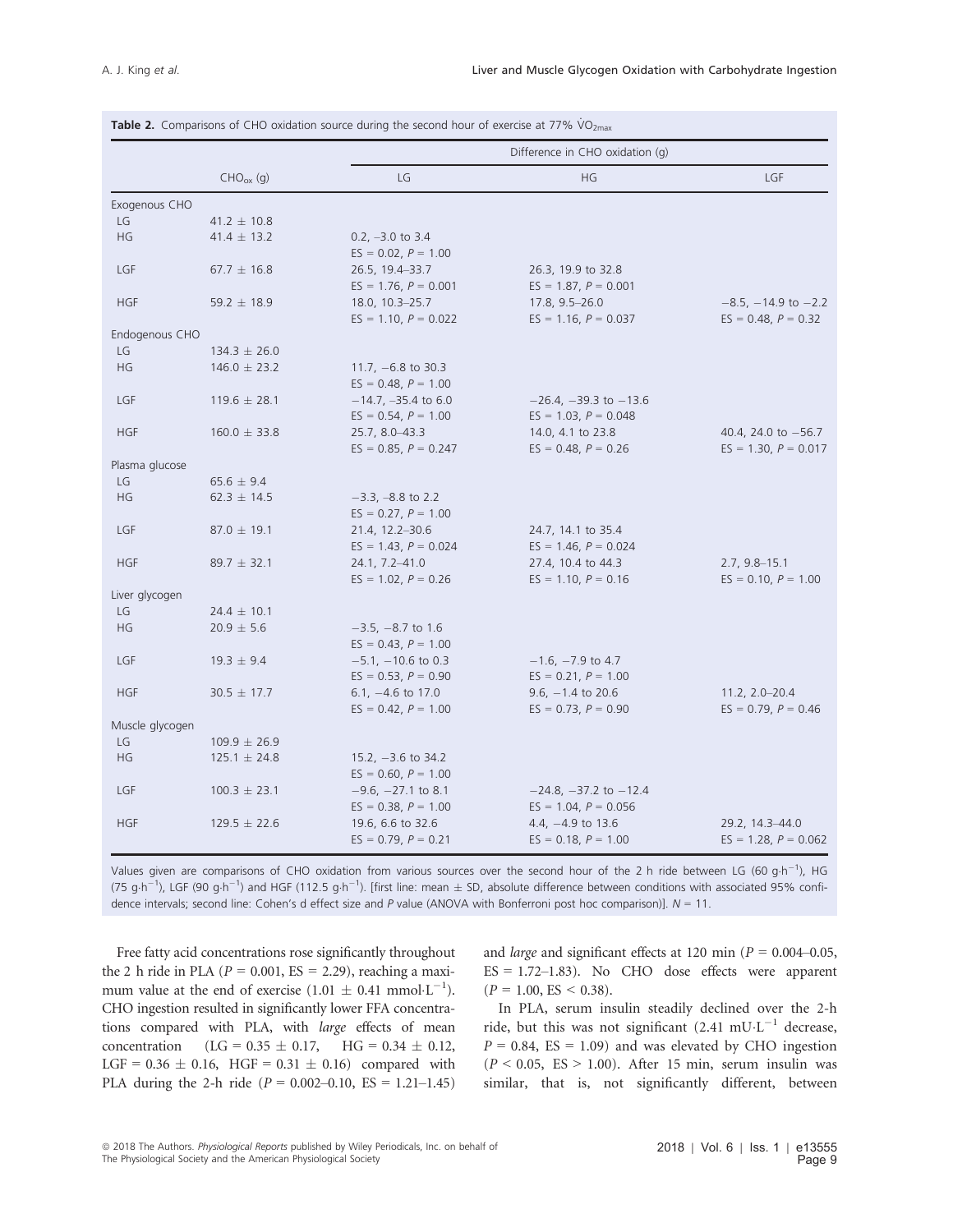|                 |                  | Difference in CHO oxidation (q) |                           |                         |  |
|-----------------|------------------|---------------------------------|---------------------------|-------------------------|--|
|                 | $CHO_{ox}$ (g)   | LG                              | HG                        | LGF                     |  |
| Exogenous CHO   |                  |                                 |                           |                         |  |
| LG              | 41.2 $\pm$ 10.8  |                                 |                           |                         |  |
| HG              | $41.4 \pm 13.2$  | $0.2, -3.0$ to 3.4              |                           |                         |  |
|                 |                  | $ES = 0.02, P = 1.00$           |                           |                         |  |
| LGF             | $67.7 \pm 16.8$  | 26.5, 19.4-33.7                 | 26.3, 19.9 to 32.8        |                         |  |
|                 |                  | $ES = 1.76, P = 0.001$          | $ES = 1.87, P = 0.001$    |                         |  |
| <b>HGF</b>      | 59.2 $\pm$ 18.9  | 18.0, 10.3-25.7                 | 17.8, 9.5-26.0            | $-8.5, -14.9$ to $-2.2$ |  |
|                 |                  | $ES = 1.10, P = 0.022$          | $ES = 1.16, P = 0.037$    | $ES = 0.48, P = 0.32$   |  |
| Endogenous CHO  |                  |                                 |                           |                         |  |
| LG              | $134.3 \pm 26.0$ |                                 |                           |                         |  |
| HG              | $146.0 \pm 23.2$ | 11.7, $-6.8$ to 30.3            |                           |                         |  |
|                 |                  | $ES = 0.48, P = 1.00$           |                           |                         |  |
| <b>LGF</b>      | $119.6 \pm 28.1$ | $-14.7, -35.4$ to 6.0           | $-26.4, -39.3$ to $-13.6$ |                         |  |
|                 |                  | $ES = 0.54, P = 1.00$           | $ES = 1.03, P = 0.048$    |                         |  |
| <b>HGF</b>      | $160.0 \pm 33.8$ | 25.7, 8.0-43.3                  | 14.0, 4.1 to 23.8         | 40.4, 24.0 to $-56.7$   |  |
|                 |                  | $ES = 0.85, P = 0.247$          | $ES = 0.48, P = 0.26$     | $ES = 1.30, P = 0.017$  |  |
| Plasma glucose  |                  |                                 |                           |                         |  |
| LG              | $65.6 \pm 9.4$   |                                 |                           |                         |  |
| HG              | $62.3 \pm 14.5$  | $-3.3, -8.8$ to 2.2             |                           |                         |  |
|                 |                  | $ES = 0.27, P = 1.00$           |                           |                         |  |
| LGF             | $87.0 \pm 19.1$  | 21.4, 12.2-30.6                 | 24.7, 14.1 to 35.4        |                         |  |
|                 |                  | $ES = 1.43, P = 0.024$          | $ES = 1.46, P = 0.024$    |                         |  |
| <b>HGF</b>      | $89.7 \pm 32.1$  | 24.1, 7.2-41.0                  | 27.4, 10.4 to 44.3        | $2.7, 9.8 - 15.1$       |  |
|                 |                  | $ES = 1.02, P = 0.26$           | $ES = 1.10, P = 0.16$     | $ES = 0.10, P = 1.00$   |  |
| Liver glycogen  |                  |                                 |                           |                         |  |
| LG              | $24.4 \pm 10.1$  |                                 |                           |                         |  |
| HG              | $20.9 \pm 5.6$   | $-3.5, -8.7$ to 1.6             |                           |                         |  |
|                 |                  | $ES = 0.43, P = 1.00$           |                           |                         |  |
| LGF             | $19.3 \pm 9.4$   | $-5.1, -10.6$ to 0.3            | $-1.6$ , $-7.9$ to 4.7    |                         |  |
|                 |                  | $ES = 0.53, P = 0.90$           | $ES = 0.21, P = 1.00$     |                         |  |
| <b>HGF</b>      | $30.5 \pm 17.7$  | 6.1, $-4.6$ to 17.0             | 9.6, $-1.4$ to 20.6       | $11.2, 2.0 - 20.4$      |  |
|                 |                  | $ES = 0.42, P = 1.00$           | $ES = 0.73, P = 0.90$     | $ES = 0.79, P = 0.46$   |  |
| Muscle glycogen |                  |                                 |                           |                         |  |
| LG              | $109.9 \pm 26.9$ |                                 |                           |                         |  |
| HG              | $125.1 \pm 24.8$ | 15.2, $-3.6$ to 34.2            |                           |                         |  |
|                 |                  | $ES = 0.60, P = 1.00$           |                           |                         |  |
| <b>LGF</b>      | $100.3 \pm 23.1$ | $-9.6, -27.1$ to 8.1            | $-24.8, -37.2$ to $-12.4$ |                         |  |
|                 |                  | $ES = 0.38, P = 1.00$           | $ES = 1.04, P = 0.056$    |                         |  |
| <b>HGF</b>      | $129.5 \pm 22.6$ | 19.6, 6.6 to 32.6               | 4.4, $-4.9$ to 13.6       | 29.2, 14.3-44.0         |  |
|                 |                  | $ES = 0.79, P = 0.21$           | $ES = 0.18, P = 1.00$     | $ES = 1.28, P = 0.062$  |  |

**Table 2.** Comparisons of CHO oxidation source during the second hour of exercise at 77%  $\dot{V}O_{2\text{max}}$ 

Values given are comparisons of CHO oxidation from various sources over the second hour of the 2 h ride between LG (60 g $-h^{-1}$ ), HG (75 g $\cdot$ h $^{-1}$ ), LGF (90 g $\cdot$ h $^{-1}$ ) and HGF (112.5 g $\cdot$ h $^{-1}$ ). [first line: mean  $\pm$  SD, absolute difference between conditions with associated 95% confidence intervals; second line: Cohen's d effect size and P value (ANOVA with Bonferroni post hoc comparison)].  $N = 11$ .

Free fatty acid concentrations rose significantly throughout the 2 h ride in PLA ( $P = 0.001$ , ES = 2.29), reaching a maximum value at the end of exercise  $(1.01 \pm 0.41 \text{ mmol}\cdot\text{L}^{-1})$ . CHO ingestion resulted in significantly lower FFA concentrations compared with PLA, with large effects of mean concentration  $(LG = 0.35 \pm 0.17, HG = 0.34 \pm 0.12,$ LGF =  $0.36 \pm 0.16$ , HGF =  $0.31 \pm 0.16$ ) compared with PLA during the 2-h ride ( $P = 0.002 - 0.10$ ,  $ES = 1.21 - 1.45$ ) and *large* and significant effects at 120 min ( $P = 0.004 - 0.05$ ,  $ES = 1.72-1.83$ ). No CHO dose effects were apparent  $(P = 1.00, ES < 0.38).$ 

In PLA, serum insulin steadily declined over the 2-h ride, but this was not significant  $(2.41 \text{ mU} \cdot \text{L}^{-1})$  decrease,  $P = 0.84$ , ES = 1.09) and was elevated by CHO ingestion  $(P < 0.05, ES > 1.00)$ . After 15 min, serum insulin was similar, that is, not significantly different, between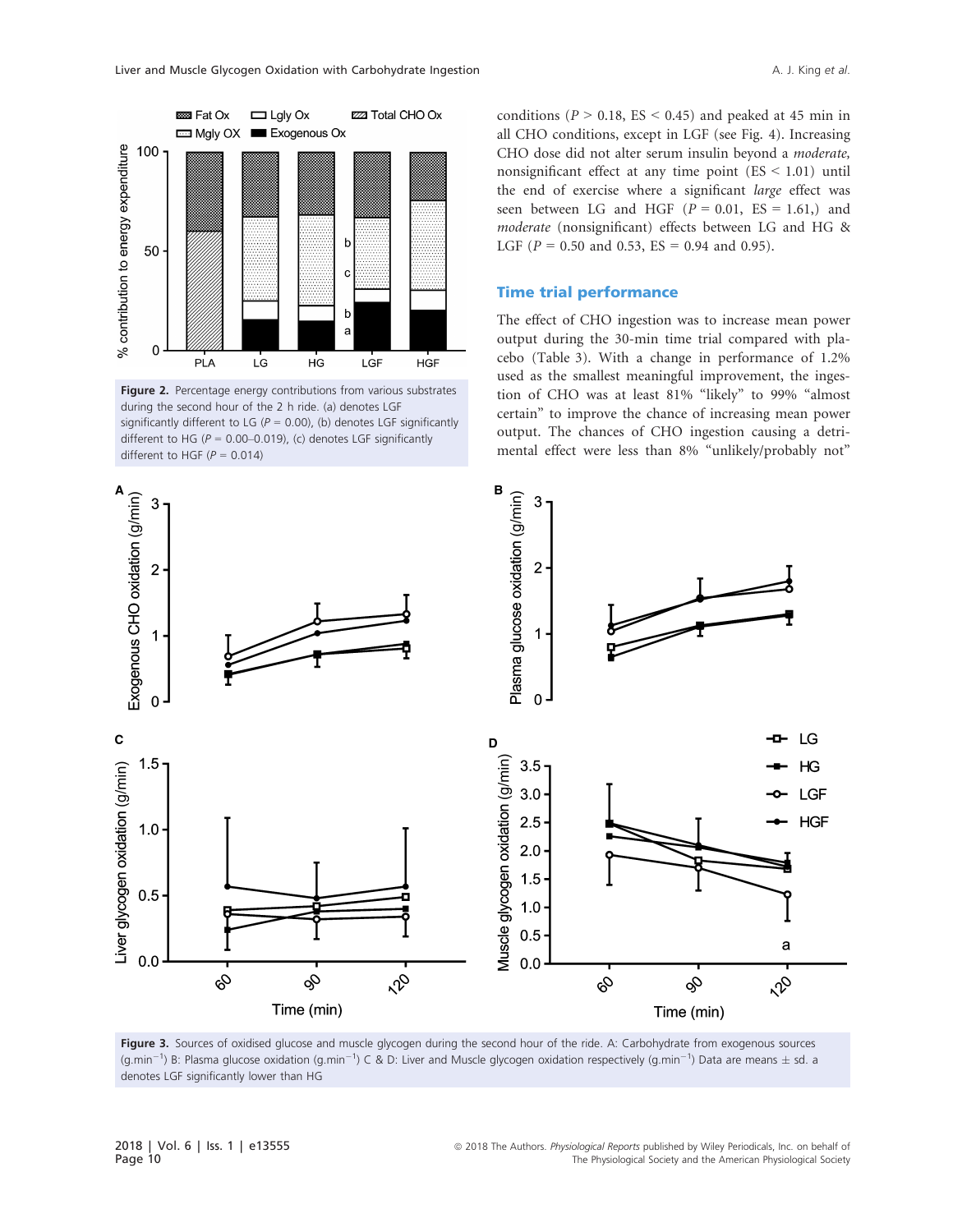

Figure 2. Percentage energy contributions from various substrates during the second hour of the 2 h ride. (a) denotes LGF significantly different to LG ( $P = 0.00$ ), (b) denotes LGF significantly different to HG ( $P = 0.00-0.019$ ), (c) denotes LGF significantly different to HGF  $(P = 0.014)$ 

conditions ( $P > 0.18$ , ES  $\leq 0.45$ ) and peaked at 45 min in all CHO conditions, except in LGF (see Fig. 4). Increasing CHO dose did not alter serum insulin beyond a moderate, nonsignificant effect at any time point (ES < 1.01) until the end of exercise where a significant large effect was seen between LG and HGF  $(P = 0.01, ES = 1.61)$  and moderate (nonsignificant) effects between LG and HG & LGF ( $P = 0.50$  and 0.53, ES = 0.94 and 0.95).

#### Time trial performance

The effect of CHO ingestion was to increase mean power output during the 30-min time trial compared with placebo (Table 3). With a change in performance of 1.2% used as the smallest meaningful improvement, the ingestion of CHO was at least 81% "likely" to 99% "almost certain" to improve the chance of increasing mean power output. The chances of CHO ingestion causing a detrimental effect were less than 8% "unlikely/probably not"



Figure 3. Sources of oxidised glucose and muscle glycogen during the second hour of the ride. A: Carbohydrate from exogenous sources (g.min $^{-1}$ ) B: Plasma glucose oxidation (g.min $^{-1}$ ) C & D: Liver and Muscle glycogen oxidation respectively (g.min $^{-1}$ ) Data are means  $\pm$  sd. a denotes LGF significantly lower than HG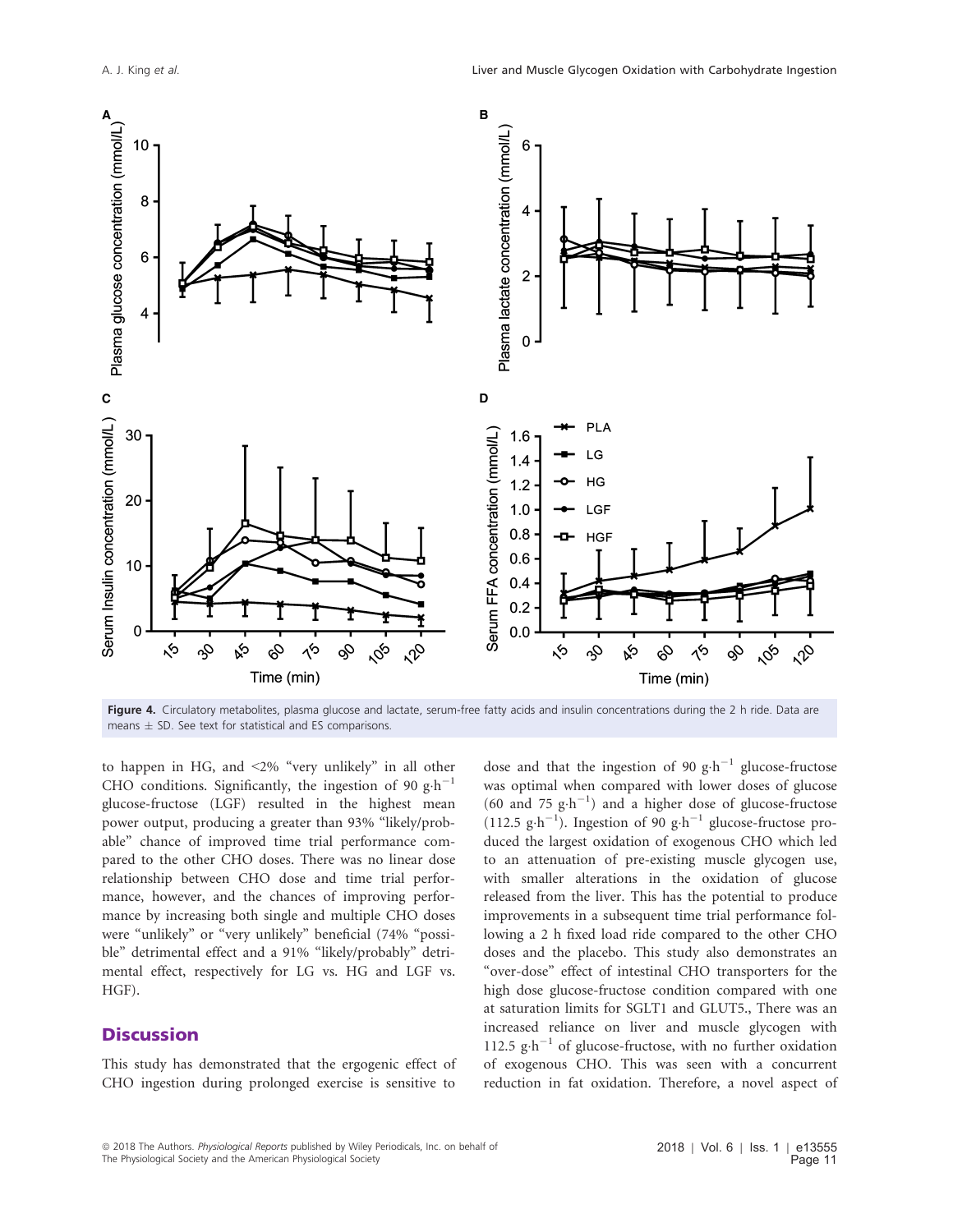

Figure 4. Circulatory metabolites, plasma glucose and lactate, serum-free fatty acids and insulin concentrations during the 2 h ride. Data are means  $\pm$  SD. See text for statistical and ES comparisons.

to happen in HG, and <2% "very unlikely" in all other CHO conditions. Significantly, the ingestion of 90 g $\,h^{-1}$ glucose-fructose (LGF) resulted in the highest mean power output, producing a greater than 93% "likely/probable" chance of improved time trial performance compared to the other CHO doses. There was no linear dose relationship between CHO dose and time trial performance, however, and the chances of improving performance by increasing both single and multiple CHO doses were "unlikely" or "very unlikely" beneficial (74% "possible" detrimental effect and a 91% "likely/probably" detrimental effect, respectively for LG vs. HG and LGF vs. HGF).

# **Discussion**

This study has demonstrated that the ergogenic effect of CHO ingestion during prolonged exercise is sensitive to

dose and that the ingestion of 90 g $\cdot$ h<sup>-1</sup> glucose-fructose was optimal when compared with lower doses of glucose (60 and 75  $g \cdot h^{-1}$ ) and a higher dose of glucose-fructose  $(112.5 \text{ g} \cdot \text{h}^{-1})$ . Ingestion of 90 g $\cdot \text{h}^{-1}$  glucose-fructose produced the largest oxidation of exogenous CHO which led to an attenuation of pre-existing muscle glycogen use, with smaller alterations in the oxidation of glucose released from the liver. This has the potential to produce improvements in a subsequent time trial performance following a 2 h fixed load ride compared to the other CHO doses and the placebo. This study also demonstrates an "over-dose" effect of intestinal CHO transporters for the high dose glucose-fructose condition compared with one at saturation limits for SGLT1 and GLUT5., There was an increased reliance on liver and muscle glycogen with 112.5  $\text{g} \cdot \text{h}^{-1}$  of glucose-fructose, with no further oxidation of exogenous CHO. This was seen with a concurrent reduction in fat oxidation. Therefore, a novel aspect of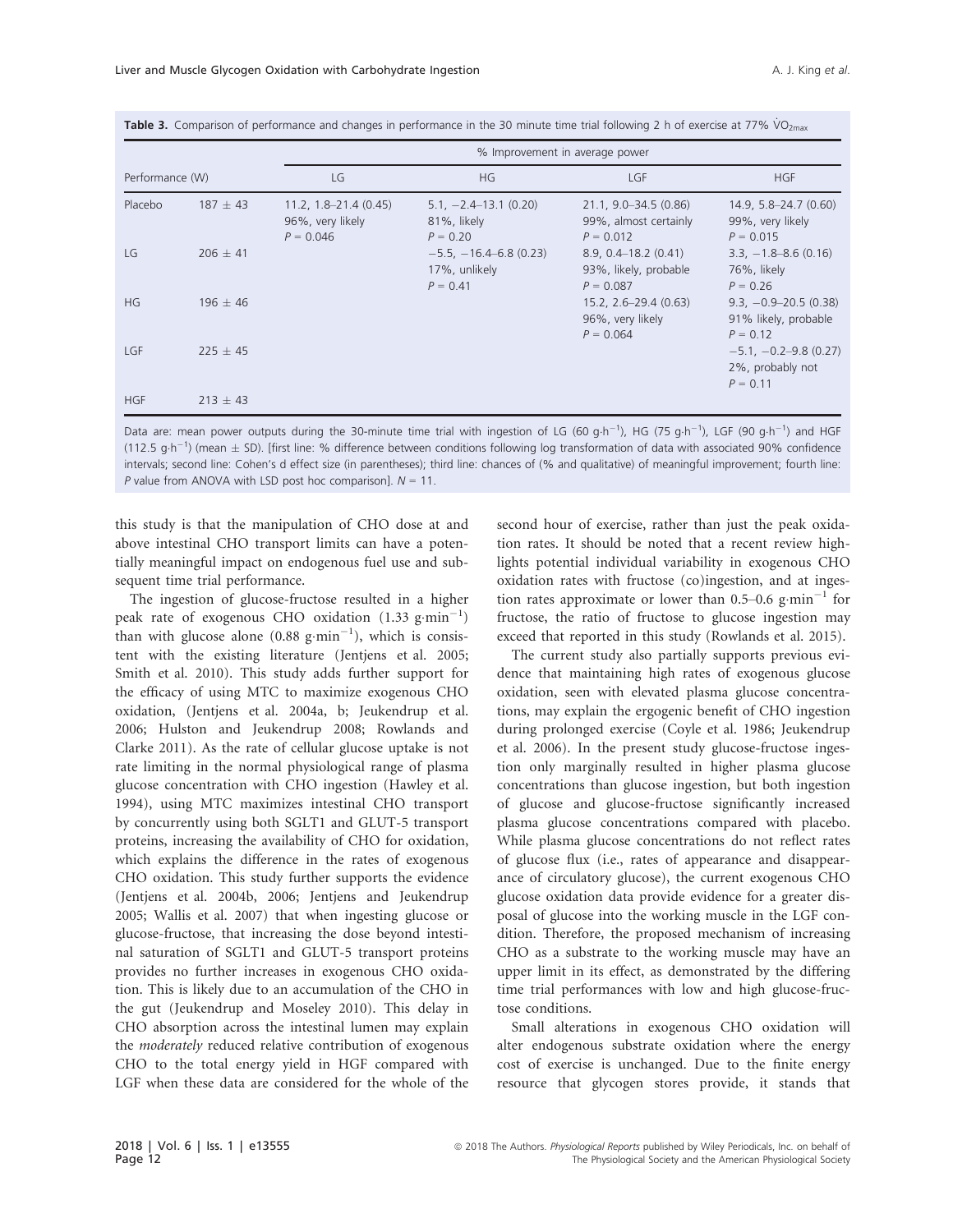|                 |              | % Improvement in average power                               |                                                           |                                                                   |                                                                 |  |  |
|-----------------|--------------|--------------------------------------------------------------|-----------------------------------------------------------|-------------------------------------------------------------------|-----------------------------------------------------------------|--|--|
| Performance (W) |              | LG.                                                          | HG                                                        | LGF                                                               | <b>HGF</b>                                                      |  |  |
| Placebo         | $187 \pm 43$ | $11.2, 1.8 - 21.4 (0.45)$<br>96%, very likely<br>$P = 0.046$ | $5.1, -2.4 - 13.1$ (0.20)<br>81%, likely<br>$P = 0.20$    | $21.1, 9.0 - 34.5 (0.86)$<br>99%, almost certainly<br>$P = 0.012$ | $14.9, 5.8 - 24.7 (0.60)$<br>99%, very likely<br>$P = 0.015$    |  |  |
| LG              | $206 \pm 41$ |                                                              | $-5.5, -16.4 - 6.8$ (0.23)<br>17%, unlikely<br>$P = 0.41$ | $8.9, 0.4 - 18.2$ (0.41)<br>93%, likely, probable<br>$P = 0.087$  | $3.3, -1.8 - 8.6$ (0.16)<br>76%, likely<br>$P = 0.26$           |  |  |
| HG              | $196 \pm 46$ |                                                              |                                                           | $15.2, 2.6 - 29.4 (0.63)$<br>96%, very likely<br>$P = 0.064$      | $9.3, -0.9 - 20.5$ (0.38)<br>91% likely, probable<br>$P = 0.12$ |  |  |
| LGF             | $225 + 45$   |                                                              |                                                           |                                                                   | $-5.1, -0.2 -9.8$ (0.27)<br>2%, probably not<br>$P = 0.11$      |  |  |
| <b>HGF</b>      | $213 \pm 43$ |                                                              |                                                           |                                                                   |                                                                 |  |  |

Table 3. Comparison of performance and changes in performance in the 30 minute time trial following 2 h of exercise at 77%  $VO_{2max}$ 

Data are: mean power outputs during the 30-minute time trial with ingestion of LG (60 g·h<sup>-1</sup>), HG (75 g·h<sup>-1</sup>), LGF (90 g·h<sup>-1</sup>) and HGF (112.5 g·h<sup>-1</sup>) (mean  $\pm$  SD). [first line: % difference between conditions following log transformation of data with associated 90% confidence intervals; second line: Cohen's d effect size (in parentheses); third line: chances of (% and qualitative) of meaningful improvement; fourth line: P value from ANOVA with LSD post hoc comparison].  $N = 11$ .

this study is that the manipulation of CHO dose at and above intestinal CHO transport limits can have a potentially meaningful impact on endogenous fuel use and subsequent time trial performance.

The ingestion of glucose-fructose resulted in a higher peak rate of exogenous CHO oxidation  $(1.33 \text{ g}\cdot\text{min}^{-1})$ than with glucose alone  $(0.88 \text{ g} \cdot \text{min}^{-1})$ , which is consistent with the existing literature (Jentjens et al. 2005; Smith et al. 2010). This study adds further support for the efficacy of using MTC to maximize exogenous CHO oxidation, (Jentjens et al. 2004a, b; Jeukendrup et al. 2006; Hulston and Jeukendrup 2008; Rowlands and Clarke 2011). As the rate of cellular glucose uptake is not rate limiting in the normal physiological range of plasma glucose concentration with CHO ingestion (Hawley et al. 1994), using MTC maximizes intestinal CHO transport by concurrently using both SGLT1 and GLUT-5 transport proteins, increasing the availability of CHO for oxidation, which explains the difference in the rates of exogenous CHO oxidation. This study further supports the evidence (Jentjens et al. 2004b, 2006; Jentjens and Jeukendrup 2005; Wallis et al. 2007) that when ingesting glucose or glucose-fructose, that increasing the dose beyond intestinal saturation of SGLT1 and GLUT-5 transport proteins provides no further increases in exogenous CHO oxidation. This is likely due to an accumulation of the CHO in the gut (Jeukendrup and Moseley 2010). This delay in CHO absorption across the intestinal lumen may explain the moderately reduced relative contribution of exogenous CHO to the total energy yield in HGF compared with LGF when these data are considered for the whole of the second hour of exercise, rather than just the peak oxidation rates. It should be noted that a recent review highlights potential individual variability in exogenous CHO oxidation rates with fructose (co)ingestion, and at ingestion rates approximate or lower than 0.5–0.6 g $\cdot$ min<sup>-1</sup> for fructose, the ratio of fructose to glucose ingestion may exceed that reported in this study (Rowlands et al. 2015).

The current study also partially supports previous evidence that maintaining high rates of exogenous glucose oxidation, seen with elevated plasma glucose concentrations, may explain the ergogenic benefit of CHO ingestion during prolonged exercise (Coyle et al. 1986; Jeukendrup et al. 2006). In the present study glucose-fructose ingestion only marginally resulted in higher plasma glucose concentrations than glucose ingestion, but both ingestion of glucose and glucose-fructose significantly increased plasma glucose concentrations compared with placebo. While plasma glucose concentrations do not reflect rates of glucose flux (i.e., rates of appearance and disappearance of circulatory glucose), the current exogenous CHO glucose oxidation data provide evidence for a greater disposal of glucose into the working muscle in the LGF condition. Therefore, the proposed mechanism of increasing CHO as a substrate to the working muscle may have an upper limit in its effect, as demonstrated by the differing time trial performances with low and high glucose-fructose conditions.

Small alterations in exogenous CHO oxidation will alter endogenous substrate oxidation where the energy cost of exercise is unchanged. Due to the finite energy resource that glycogen stores provide, it stands that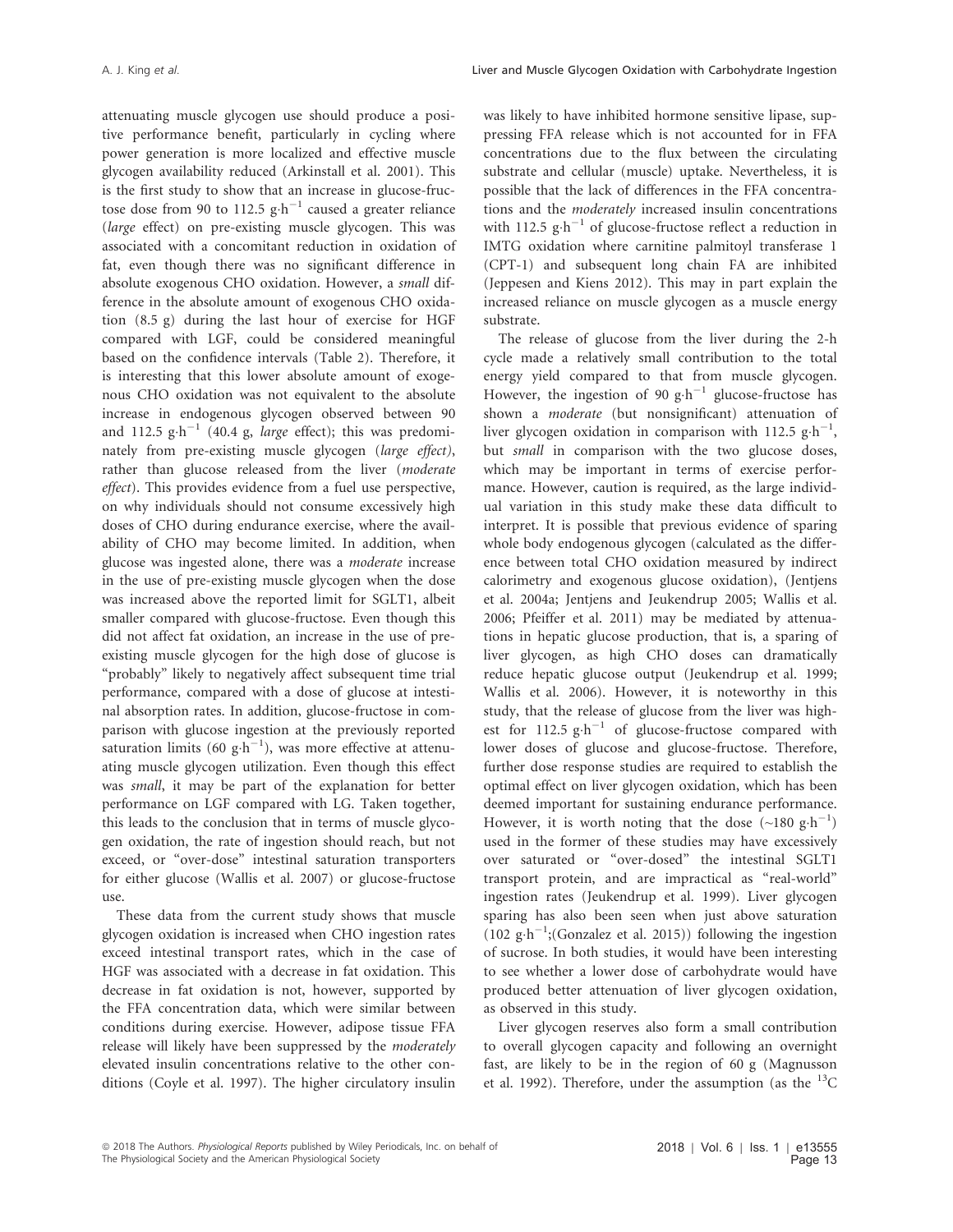attenuating muscle glycogen use should produce a positive performance benefit, particularly in cycling where power generation is more localized and effective muscle glycogen availability reduced (Arkinstall et al. 2001). This is the first study to show that an increase in glucose-fructose dose from 90 to 112.5  $\text{g} \cdot \text{h}^{-1}$  caused a greater reliance (large effect) on pre-existing muscle glycogen. This was associated with a concomitant reduction in oxidation of fat, even though there was no significant difference in absolute exogenous CHO oxidation. However, a small difference in the absolute amount of exogenous CHO oxidation (8.5 g) during the last hour of exercise for HGF compared with LGF, could be considered meaningful based on the confidence intervals (Table 2). Therefore, it is interesting that this lower absolute amount of exogenous CHO oxidation was not equivalent to the absolute increase in endogenous glycogen observed between 90 and 112.5  $g \cdot h^{-1}$  (40.4 g, large effect); this was predominately from pre-existing muscle glycogen (large effect), rather than glucose released from the liver (moderate effect). This provides evidence from a fuel use perspective, on why individuals should not consume excessively high doses of CHO during endurance exercise, where the availability of CHO may become limited. In addition, when glucose was ingested alone, there was a moderate increase in the use of pre-existing muscle glycogen when the dose was increased above the reported limit for SGLT1, albeit smaller compared with glucose-fructose. Even though this did not affect fat oxidation, an increase in the use of preexisting muscle glycogen for the high dose of glucose is "probably" likely to negatively affect subsequent time trial performance, compared with a dose of glucose at intestinal absorption rates. In addition, glucose-fructose in comparison with glucose ingestion at the previously reported saturation limits (60  $\mathrm{g\cdot h}^{-1}$ ), was more effective at attenuating muscle glycogen utilization. Even though this effect was small, it may be part of the explanation for better performance on LGF compared with LG. Taken together, this leads to the conclusion that in terms of muscle glycogen oxidation, the rate of ingestion should reach, but not exceed, or "over-dose" intestinal saturation transporters for either glucose (Wallis et al. 2007) or glucose-fructose use.

These data from the current study shows that muscle glycogen oxidation is increased when CHO ingestion rates exceed intestinal transport rates, which in the case of HGF was associated with a decrease in fat oxidation. This decrease in fat oxidation is not, however, supported by the FFA concentration data, which were similar between conditions during exercise. However, adipose tissue FFA release will likely have been suppressed by the moderately elevated insulin concentrations relative to the other conditions (Coyle et al. 1997). The higher circulatory insulin was likely to have inhibited hormone sensitive lipase, suppressing FFA release which is not accounted for in FFA concentrations due to the flux between the circulating substrate and cellular (muscle) uptake. Nevertheless, it is possible that the lack of differences in the FFA concentrations and the moderately increased insulin concentrations with 112.5  $g \cdot h^{-1}$  of glucose-fructose reflect a reduction in IMTG oxidation where carnitine palmitoyl transferase 1 (CPT-1) and subsequent long chain FA are inhibited (Jeppesen and Kiens 2012). This may in part explain the increased reliance on muscle glycogen as a muscle energy substrate.

The release of glucose from the liver during the 2-h cycle made a relatively small contribution to the total energy yield compared to that from muscle glycogen. However, the ingestion of 90 g $\cdot h^{-1}$  glucose-fructose has shown a moderate (but nonsignificant) attenuation of liver glycogen oxidation in comparison with 112.5  $g \cdot h^{-1}$ , but small in comparison with the two glucose doses, which may be important in terms of exercise performance. However, caution is required, as the large individual variation in this study make these data difficult to interpret. It is possible that previous evidence of sparing whole body endogenous glycogen (calculated as the difference between total CHO oxidation measured by indirect calorimetry and exogenous glucose oxidation), (Jentjens et al. 2004a; Jentjens and Jeukendrup 2005; Wallis et al. 2006; Pfeiffer et al. 2011) may be mediated by attenuations in hepatic glucose production, that is, a sparing of liver glycogen, as high CHO doses can dramatically reduce hepatic glucose output (Jeukendrup et al. 1999; Wallis et al. 2006). However, it is noteworthy in this study, that the release of glucose from the liver was highest for 112.5  $g \cdot h^{-1}$  of glucose-fructose compared with lower doses of glucose and glucose-fructose. Therefore, further dose response studies are required to establish the optimal effect on liver glycogen oxidation, which has been deemed important for sustaining endurance performance. However, it is worth noting that the dose  $(\sim 180 \text{ g} \cdot \text{h}^{-1})$ used in the former of these studies may have excessively over saturated or "over-dosed" the intestinal SGLT1 transport protein, and are impractical as "real-world" ingestion rates (Jeukendrup et al. 1999). Liver glycogen sparing has also been seen when just above saturation (102  $g \cdot h^{-1}$ ;(Gonzalez et al. 2015)) following the ingestion of sucrose. In both studies, it would have been interesting to see whether a lower dose of carbohydrate would have produced better attenuation of liver glycogen oxidation, as observed in this study.

Liver glycogen reserves also form a small contribution to overall glycogen capacity and following an overnight fast, are likely to be in the region of 60 g (Magnusson et al. 1992). Therefore, under the assumption (as the  $^{13}$ C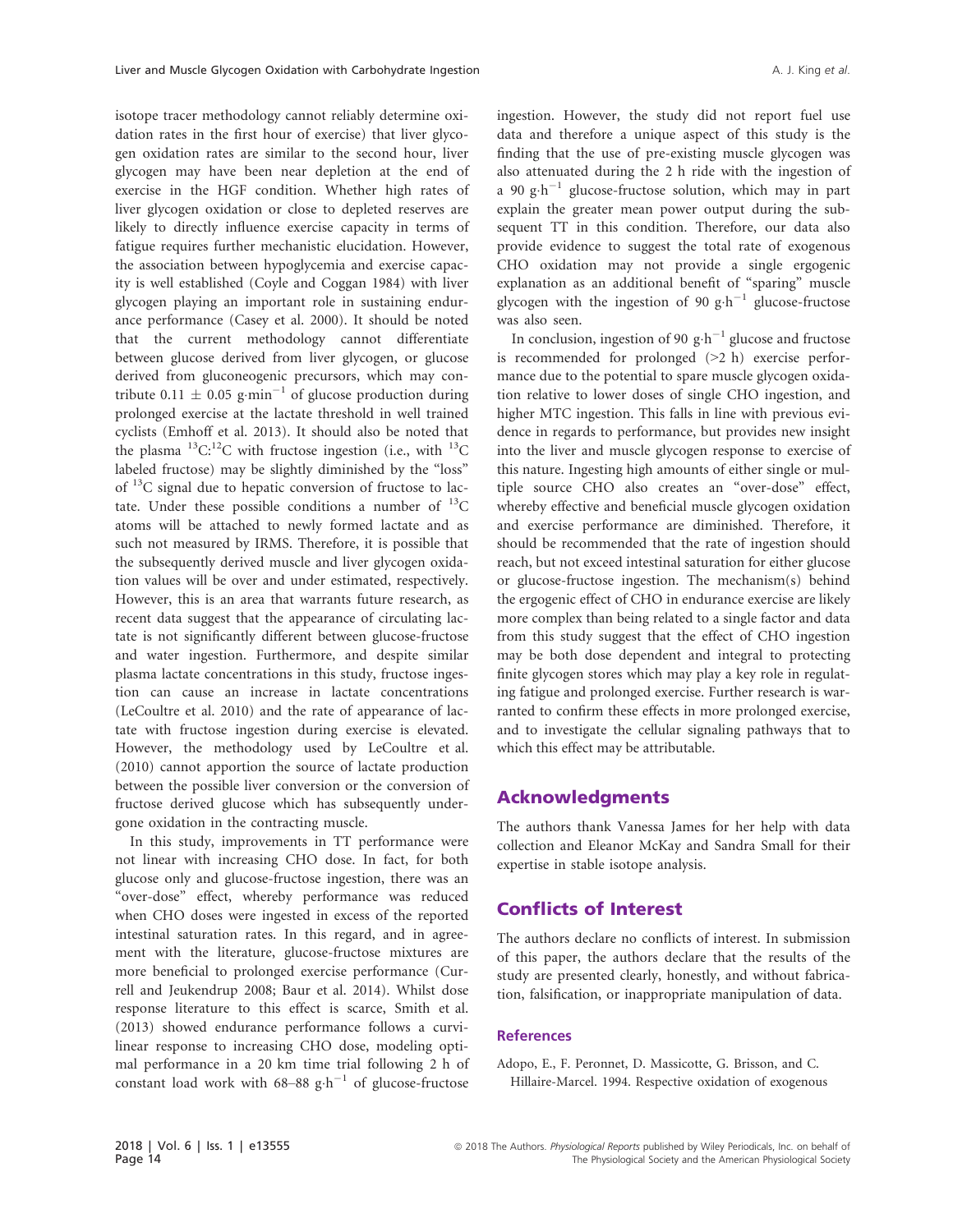isotope tracer methodology cannot reliably determine oxidation rates in the first hour of exercise) that liver glycogen oxidation rates are similar to the second hour, liver glycogen may have been near depletion at the end of exercise in the HGF condition. Whether high rates of liver glycogen oxidation or close to depleted reserves are likely to directly influence exercise capacity in terms of fatigue requires further mechanistic elucidation. However, the association between hypoglycemia and exercise capacity is well established (Coyle and Coggan 1984) with liver glycogen playing an important role in sustaining endurance performance (Casey et al. 2000). It should be noted that the current methodology cannot differentiate between glucose derived from liver glycogen, or glucose derived from gluconeogenic precursors, which may contribute 0.11  $\pm$  0.05 g·min<sup>-1</sup> of glucose production during prolonged exercise at the lactate threshold in well trained cyclists (Emhoff et al. 2013). It should also be noted that the plasma  $^{13}$ C:<sup>12</sup>C with fructose ingestion (i.e., with  $^{13}$ C labeled fructose) may be slightly diminished by the "loss" of 13C signal due to hepatic conversion of fructose to lactate. Under these possible conditions a number of  $^{13}$ C atoms will be attached to newly formed lactate and as such not measured by IRMS. Therefore, it is possible that the subsequently derived muscle and liver glycogen oxidation values will be over and under estimated, respectively. However, this is an area that warrants future research, as recent data suggest that the appearance of circulating lactate is not significantly different between glucose-fructose and water ingestion. Furthermore, and despite similar plasma lactate concentrations in this study, fructose ingestion can cause an increase in lactate concentrations (LeCoultre et al. 2010) and the rate of appearance of lactate with fructose ingestion during exercise is elevated. However, the methodology used by LeCoultre et al. (2010) cannot apportion the source of lactate production between the possible liver conversion or the conversion of fructose derived glucose which has subsequently undergone oxidation in the contracting muscle.

In this study, improvements in TT performance were not linear with increasing CHO dose. In fact, for both glucose only and glucose-fructose ingestion, there was an "over-dose" effect, whereby performance was reduced when CHO doses were ingested in excess of the reported intestinal saturation rates. In this regard, and in agreement with the literature, glucose-fructose mixtures are more beneficial to prolonged exercise performance (Currell and Jeukendrup 2008; Baur et al. 2014). Whilst dose response literature to this effect is scarce, Smith et al. (2013) showed endurance performance follows a curvilinear response to increasing CHO dose, modeling optimal performance in a 20 km time trial following 2 h of constant load work with  $68-88$  g·h<sup>-1</sup> of glucose-fructose ingestion. However, the study did not report fuel use data and therefore a unique aspect of this study is the finding that the use of pre-existing muscle glycogen was also attenuated during the 2 h ride with the ingestion of a 90 g $\cdot h^{-1}$  glucose-fructose solution, which may in part explain the greater mean power output during the subsequent TT in this condition. Therefore, our data also provide evidence to suggest the total rate of exogenous CHO oxidation may not provide a single ergogenic explanation as an additional benefit of "sparing" muscle glycogen with the ingestion of 90 g $h^{-1}$  glucose-fructose was also seen.

In conclusion, ingestion of 90 g $\cdot$ h<sup>-1</sup> glucose and fructose is recommended for prolonged (>2 h) exercise performance due to the potential to spare muscle glycogen oxidation relative to lower doses of single CHO ingestion, and higher MTC ingestion. This falls in line with previous evidence in regards to performance, but provides new insight into the liver and muscle glycogen response to exercise of this nature. Ingesting high amounts of either single or multiple source CHO also creates an "over-dose" effect, whereby effective and beneficial muscle glycogen oxidation and exercise performance are diminished. Therefore, it should be recommended that the rate of ingestion should reach, but not exceed intestinal saturation for either glucose or glucose-fructose ingestion. The mechanism(s) behind the ergogenic effect of CHO in endurance exercise are likely more complex than being related to a single factor and data from this study suggest that the effect of CHO ingestion may be both dose dependent and integral to protecting finite glycogen stores which may play a key role in regulating fatigue and prolonged exercise. Further research is warranted to confirm these effects in more prolonged exercise, and to investigate the cellular signaling pathways that to which this effect may be attributable.

#### Acknowledgments

The authors thank Vanessa James for her help with data collection and Eleanor McKay and Sandra Small for their expertise in stable isotope analysis.

# Conflicts of Interest

The authors declare no conflicts of interest. In submission of this paper, the authors declare that the results of the study are presented clearly, honestly, and without fabrication, falsification, or inappropriate manipulation of data.

#### **References**

Adopo, E., F. Peronnet, D. Massicotte, G. Brisson, and C. Hillaire-Marcel. 1994. Respective oxidation of exogenous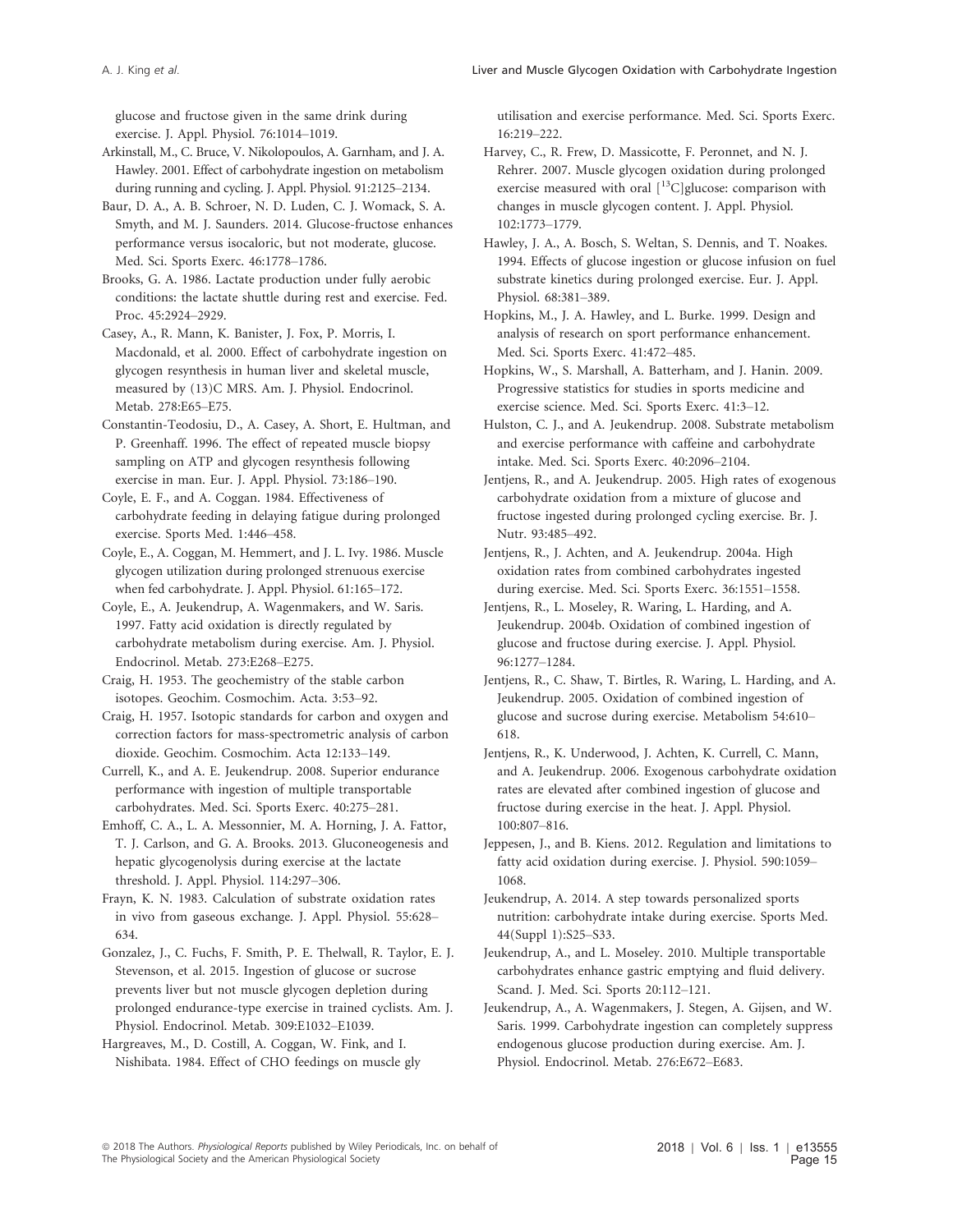glucose and fructose given in the same drink during exercise. J. Appl. Physiol. 76:1014–1019.

Arkinstall, M., C. Bruce, V. Nikolopoulos, A. Garnham, and J. A. Hawley. 2001. Effect of carbohydrate ingestion on metabolism during running and cycling. J. Appl. Physiol. 91:2125–2134.

Baur, D. A., A. B. Schroer, N. D. Luden, C. J. Womack, S. A. Smyth, and M. J. Saunders. 2014. Glucose-fructose enhances performance versus isocaloric, but not moderate, glucose. Med. Sci. Sports Exerc. 46:1778–1786.

Brooks, G. A. 1986. Lactate production under fully aerobic conditions: the lactate shuttle during rest and exercise. Fed. Proc. 45:2924–2929.

Casey, A., R. Mann, K. Banister, J. Fox, P. Morris, I. Macdonald, et al. 2000. Effect of carbohydrate ingestion on glycogen resynthesis in human liver and skeletal muscle, measured by (13)C MRS. Am. J. Physiol. Endocrinol. Metab. 278:E65–E75.

Constantin-Teodosiu, D., A. Casey, A. Short, E. Hultman, and P. Greenhaff. 1996. The effect of repeated muscle biopsy sampling on ATP and glycogen resynthesis following exercise in man. Eur. J. Appl. Physiol. 73:186–190.

Coyle, E. F., and A. Coggan. 1984. Effectiveness of carbohydrate feeding in delaying fatigue during prolonged exercise. Sports Med. 1:446–458.

Coyle, E., A. Coggan, M. Hemmert, and J. L. Ivy. 1986. Muscle glycogen utilization during prolonged strenuous exercise when fed carbohydrate. J. Appl. Physiol. 61:165–172.

Coyle, E., A. Jeukendrup, A. Wagenmakers, and W. Saris. 1997. Fatty acid oxidation is directly regulated by carbohydrate metabolism during exercise. Am. J. Physiol. Endocrinol. Metab. 273:E268–E275.

Craig, H. 1953. The geochemistry of the stable carbon isotopes. Geochim. Cosmochim. Acta. 3:53–92.

Craig, H. 1957. Isotopic standards for carbon and oxygen and correction factors for mass-spectrometric analysis of carbon dioxide. Geochim. Cosmochim. Acta 12:133–149.

Currell, K., and A. E. Jeukendrup. 2008. Superior endurance performance with ingestion of multiple transportable carbohydrates. Med. Sci. Sports Exerc. 40:275–281.

Emhoff, C. A., L. A. Messonnier, M. A. Horning, J. A. Fattor, T. J. Carlson, and G. A. Brooks. 2013. Gluconeogenesis and hepatic glycogenolysis during exercise at the lactate threshold. J. Appl. Physiol. 114:297–306.

Frayn, K. N. 1983. Calculation of substrate oxidation rates in vivo from gaseous exchange. J. Appl. Physiol. 55:628– 634.

Gonzalez, J., C. Fuchs, F. Smith, P. E. Thelwall, R. Taylor, E. J. Stevenson, et al. 2015. Ingestion of glucose or sucrose prevents liver but not muscle glycogen depletion during prolonged endurance-type exercise in trained cyclists. Am. J. Physiol. Endocrinol. Metab. 309:E1032–E1039.

Hargreaves, M., D. Costill, A. Coggan, W. Fink, and I. Nishibata. 1984. Effect of CHO feedings on muscle gly utilisation and exercise performance. Med. Sci. Sports Exerc. 16:219–222.

Harvey, C., R. Frew, D. Massicotte, F. Peronnet, and N. J. Rehrer. 2007. Muscle glycogen oxidation during prolonged exercise measured with oral  $[^{13}C]$ glucose: comparison with changes in muscle glycogen content. J. Appl. Physiol. 102:1773–1779.

Hawley, J. A., A. Bosch, S. Weltan, S. Dennis, and T. Noakes. 1994. Effects of glucose ingestion or glucose infusion on fuel substrate kinetics during prolonged exercise. Eur. J. Appl. Physiol. 68:381–389.

Hopkins, M., J. A. Hawley, and L. Burke. 1999. Design and analysis of research on sport performance enhancement. Med. Sci. Sports Exerc. 41:472–485.

Hopkins, W., S. Marshall, A. Batterham, and J. Hanin. 2009. Progressive statistics for studies in sports medicine and exercise science. Med. Sci. Sports Exerc. 41:3–12.

Hulston, C. J., and A. Jeukendrup. 2008. Substrate metabolism and exercise performance with caffeine and carbohydrate intake. Med. Sci. Sports Exerc. 40:2096–2104.

Jentjens, R., and A. Jeukendrup. 2005. High rates of exogenous carbohydrate oxidation from a mixture of glucose and fructose ingested during prolonged cycling exercise. Br. J. Nutr. 93:485–492.

Jentjens, R., J. Achten, and A. Jeukendrup. 2004a. High oxidation rates from combined carbohydrates ingested during exercise. Med. Sci. Sports Exerc. 36:1551–1558.

Jentjens, R., L. Moseley, R. Waring, L. Harding, and A. Jeukendrup. 2004b. Oxidation of combined ingestion of glucose and fructose during exercise. J. Appl. Physiol. 96:1277–1284.

Jentjens, R., C. Shaw, T. Birtles, R. Waring, L. Harding, and A. Jeukendrup. 2005. Oxidation of combined ingestion of glucose and sucrose during exercise. Metabolism 54:610– 618.

Jentjens, R., K. Underwood, J. Achten, K. Currell, C. Mann, and A. Jeukendrup. 2006. Exogenous carbohydrate oxidation rates are elevated after combined ingestion of glucose and fructose during exercise in the heat. J. Appl. Physiol. 100:807–816.

Jeppesen, J., and B. Kiens. 2012. Regulation and limitations to fatty acid oxidation during exercise. J. Physiol. 590:1059– 1068.

Jeukendrup, A. 2014. A step towards personalized sports nutrition: carbohydrate intake during exercise. Sports Med. 44(Suppl 1):S25–S33.

Jeukendrup, A., and L. Moseley. 2010. Multiple transportable carbohydrates enhance gastric emptying and fluid delivery. Scand. J. Med. Sci. Sports 20:112–121.

Jeukendrup, A., A. Wagenmakers, J. Stegen, A. Gijsen, and W. Saris. 1999. Carbohydrate ingestion can completely suppress endogenous glucose production during exercise. Am. J. Physiol. Endocrinol. Metab. 276:E672–E683.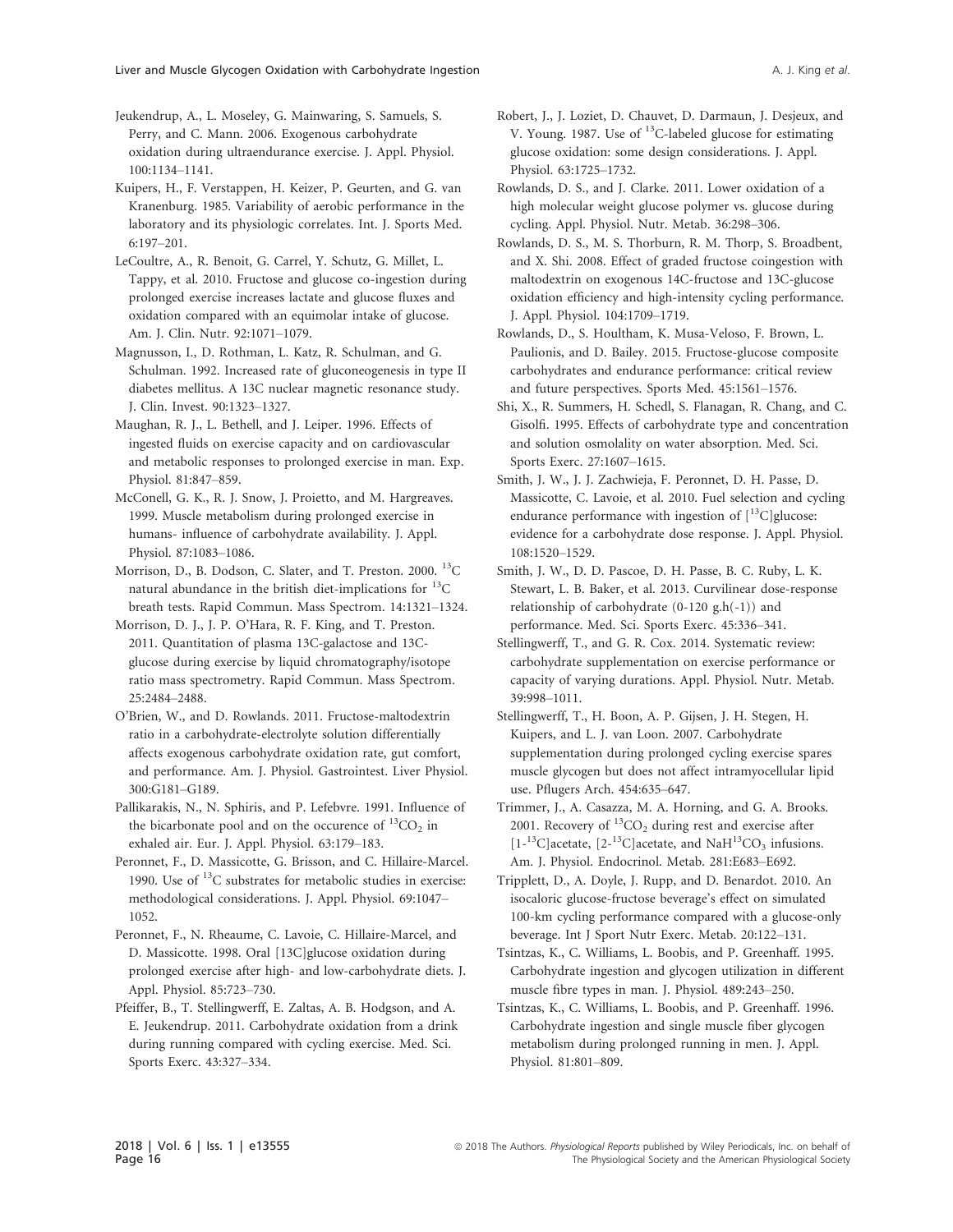Jeukendrup, A., L. Moseley, G. Mainwaring, S. Samuels, S. Perry, and C. Mann. 2006. Exogenous carbohydrate oxidation during ultraendurance exercise. J. Appl. Physiol. 100:1134–1141.

Kuipers, H., F. Verstappen, H. Keizer, P. Geurten, and G. van Kranenburg. 1985. Variability of aerobic performance in the laboratory and its physiologic correlates. Int. J. Sports Med. 6:197–201.

LeCoultre, A., R. Benoit, G. Carrel, Y. Schutz, G. Millet, L. Tappy, et al. 2010. Fructose and glucose co-ingestion during prolonged exercise increases lactate and glucose fluxes and oxidation compared with an equimolar intake of glucose. Am. J. Clin. Nutr. 92:1071–1079.

Magnusson, I., D. Rothman, L. Katz, R. Schulman, and G. Schulman. 1992. Increased rate of gluconeogenesis in type II diabetes mellitus. A 13C nuclear magnetic resonance study. J. Clin. Invest. 90:1323–1327.

Maughan, R. J., L. Bethell, and J. Leiper. 1996. Effects of ingested fluids on exercise capacity and on cardiovascular and metabolic responses to prolonged exercise in man. Exp. Physiol. 81:847–859.

McConell, G. K., R. J. Snow, J. Proietto, and M. Hargreaves. 1999. Muscle metabolism during prolonged exercise in humans- influence of carbohydrate availability. J. Appl. Physiol. 87:1083–1086.

Morrison, D., B. Dodson, C. Slater, and T. Preston. 2000. <sup>13</sup>C natural abundance in the british diet-implications for  $^{13}$ C breath tests. Rapid Commun. Mass Spectrom. 14:1321–1324.

Morrison, D. J., J. P. O'Hara, R. F. King, and T. Preston. 2011. Quantitation of plasma 13C-galactose and 13Cglucose during exercise by liquid chromatography/isotope ratio mass spectrometry. Rapid Commun. Mass Spectrom. 25:2484–2488.

O'Brien, W., and D. Rowlands. 2011. Fructose-maltodextrin ratio in a carbohydrate-electrolyte solution differentially affects exogenous carbohydrate oxidation rate, gut comfort, and performance. Am. J. Physiol. Gastrointest. Liver Physiol. 300:G181–G189.

Pallikarakis, N., N. Sphiris, and P. Lefebvre. 1991. Influence of the bicarbonate pool and on the occurence of  ${}^{13}CO_2$  in exhaled air. Eur. J. Appl. Physiol. 63:179–183.

Peronnet, F., D. Massicotte, G. Brisson, and C. Hillaire-Marcel. 1990. Use of  $^{13}$ C substrates for metabolic studies in exercise: methodological considerations. J. Appl. Physiol. 69:1047– 1052.

Peronnet, F., N. Rheaume, C. Lavoie, C. Hillaire-Marcel, and D. Massicotte. 1998. Oral [13C]glucose oxidation during prolonged exercise after high- and low-carbohydrate diets. J. Appl. Physiol. 85:723–730.

Pfeiffer, B., T. Stellingwerff, E. Zaltas, A. B. Hodgson, and A. E. Jeukendrup. 2011. Carbohydrate oxidation from a drink during running compared with cycling exercise. Med. Sci. Sports Exerc. 43:327–334.

Robert, J., J. Loziet, D. Chauvet, D. Darmaun, J. Desjeux, and V. Young. 1987. Use of  $^{13}$ C-labeled glucose for estimating glucose oxidation: some design considerations. J. Appl. Physiol. 63:1725–1732.

Rowlands, D. S., and J. Clarke. 2011. Lower oxidation of a high molecular weight glucose polymer vs. glucose during cycling. Appl. Physiol. Nutr. Metab. 36:298–306.

Rowlands, D. S., M. S. Thorburn, R. M. Thorp, S. Broadbent, and X. Shi. 2008. Effect of graded fructose coingestion with maltodextrin on exogenous 14C-fructose and 13C-glucose oxidation efficiency and high-intensity cycling performance. J. Appl. Physiol. 104:1709–1719.

Rowlands, D., S. Houltham, K. Musa-Veloso, F. Brown, L. Paulionis, and D. Bailey. 2015. Fructose-glucose composite carbohydrates and endurance performance: critical review and future perspectives. Sports Med. 45:1561–1576.

Shi, X., R. Summers, H. Schedl, S. Flanagan, R. Chang, and C. Gisolfi. 1995. Effects of carbohydrate type and concentration and solution osmolality on water absorption. Med. Sci. Sports Exerc. 27:1607–1615.

Smith, J. W., J. J. Zachwieja, F. Peronnet, D. H. Passe, D. Massicotte, C. Lavoie, et al. 2010. Fuel selection and cycling endurance performance with ingestion of  $[{}^{13}C]$ glucose: evidence for a carbohydrate dose response. J. Appl. Physiol. 108:1520–1529.

Smith, J. W., D. D. Pascoe, D. H. Passe, B. C. Ruby, L. K. Stewart, L. B. Baker, et al. 2013. Curvilinear dose-response relationship of carbohydrate (0-120 g.h(-1)) and performance. Med. Sci. Sports Exerc. 45:336–341.

Stellingwerff, T., and G. R. Cox. 2014. Systematic review: carbohydrate supplementation on exercise performance or capacity of varying durations. Appl. Physiol. Nutr. Metab. 39:998–1011.

Stellingwerff, T., H. Boon, A. P. Gijsen, J. H. Stegen, H. Kuipers, and L. J. van Loon. 2007. Carbohydrate supplementation during prolonged cycling exercise spares muscle glycogen but does not affect intramyocellular lipid use. Pflugers Arch. 454:635–647.

Trimmer, J., A. Casazza, M. A. Horning, and G. A. Brooks. 2001. Recovery of  ${}^{13}CO_2$  during rest and exercise after  $[1 - {^{13}C}]$ acetate,  $[2 - {^{13}C}]$ acetate, and Na $H^{13}CO_3$  infusions. Am. J. Physiol. Endocrinol. Metab. 281:E683–E692.

Tripplett, D., A. Doyle, J. Rupp, and D. Benardot. 2010. An isocaloric glucose-fructose beverage's effect on simulated 100-km cycling performance compared with a glucose-only beverage. Int J Sport Nutr Exerc. Metab. 20:122–131.

Tsintzas, K., C. Williams, L. Boobis, and P. Greenhaff. 1995. Carbohydrate ingestion and glycogen utilization in different muscle fibre types in man. J. Physiol. 489:243–250.

Tsintzas, K., C. Williams, L. Boobis, and P. Greenhaff. 1996. Carbohydrate ingestion and single muscle fiber glycogen metabolism during prolonged running in men. J. Appl. Physiol. 81:801–809.